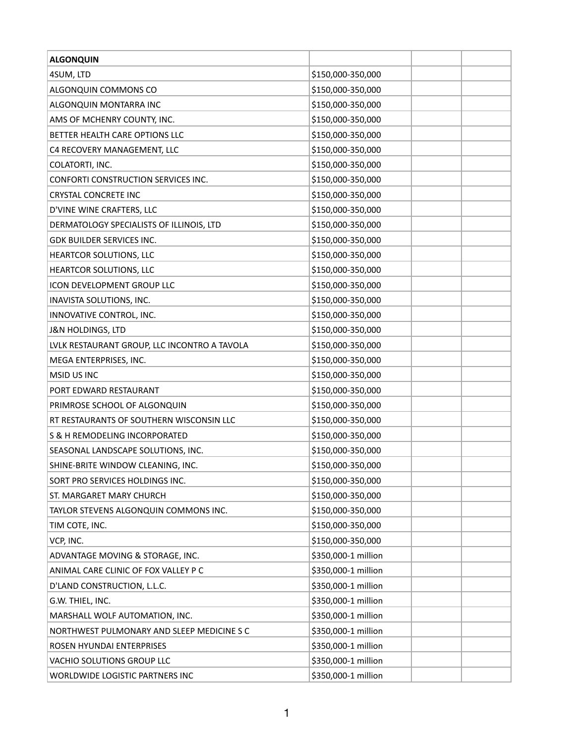| <b>ALGONQUIN</b>                             |                     |
|----------------------------------------------|---------------------|
| 4SUM, LTD                                    | \$150,000-350,000   |
| ALGONQUIN COMMONS CO                         | \$150,000-350,000   |
| ALGONQUIN MONTARRA INC                       | \$150,000-350,000   |
| AMS OF MCHENRY COUNTY, INC.                  | \$150,000-350,000   |
| BETTER HEALTH CARE OPTIONS LLC               | \$150,000-350,000   |
| C4 RECOVERY MANAGEMENT, LLC                  | \$150,000-350,000   |
| COLATORTI, INC.                              | \$150,000-350,000   |
| CONFORTI CONSTRUCTION SERVICES INC.          | \$150,000-350,000   |
| <b>CRYSTAL CONCRETE INC</b>                  | \$150,000-350,000   |
| D'VINE WINE CRAFTERS, LLC                    | \$150,000-350,000   |
| DERMATOLOGY SPECIALISTS OF ILLINOIS, LTD     | \$150,000-350,000   |
| GDK BUILDER SERVICES INC.                    | \$150,000-350,000   |
| HEARTCOR SOLUTIONS, LLC                      | \$150,000-350,000   |
| HEARTCOR SOLUTIONS, LLC                      | \$150,000-350,000   |
| ICON DEVELOPMENT GROUP LLC                   | \$150,000-350,000   |
| INAVISTA SOLUTIONS, INC.                     | \$150,000-350,000   |
| INNOVATIVE CONTROL, INC.                     | \$150,000-350,000   |
| <b>J&amp;N HOLDINGS, LTD</b>                 | \$150,000-350,000   |
| LVLK RESTAURANT GROUP, LLC INCONTRO A TAVOLA | \$150,000-350,000   |
| MEGA ENTERPRISES, INC.                       | \$150,000-350,000   |
| MSID US INC                                  | \$150,000-350,000   |
| PORT EDWARD RESTAURANT                       | \$150,000-350,000   |
| PRIMROSE SCHOOL OF ALGONQUIN                 | \$150,000-350,000   |
| RT RESTAURANTS OF SOUTHERN WISCONSIN LLC     | \$150,000-350,000   |
| S & H REMODELING INCORPORATED                | \$150,000-350,000   |
| SEASONAL LANDSCAPE SOLUTIONS, INC.           | \$150,000-350,000   |
| SHINE-BRITE WINDOW CLEANING, INC.            | \$150,000-350,000   |
| SORT PRO SERVICES HOLDINGS INC.              | \$150,000-350,000   |
| ST. MARGARET MARY CHURCH                     | \$150,000-350,000   |
| TAYLOR STEVENS ALGONQUIN COMMONS INC.        | \$150,000-350,000   |
| TIM COTE, INC.                               | \$150,000-350,000   |
| VCP, INC.                                    | \$150,000-350,000   |
| ADVANTAGE MOVING & STORAGE, INC.             | \$350,000-1 million |
| ANIMAL CARE CLINIC OF FOX VALLEY P C         | \$350,000-1 million |
| D'LAND CONSTRUCTION, L.L.C.                  | \$350,000-1 million |
| G.W. THIEL, INC.                             | \$350,000-1 million |
| MARSHALL WOLF AUTOMATION, INC.               | \$350,000-1 million |
| NORTHWEST PULMONARY AND SLEEP MEDICINE S C   | \$350,000-1 million |
| ROSEN HYUNDAI ENTERPRISES                    | \$350,000-1 million |
| VACHIO SOLUTIONS GROUP LLC                   | \$350,000-1 million |
| WORLDWIDE LOGISTIC PARTNERS INC              | \$350,000-1 million |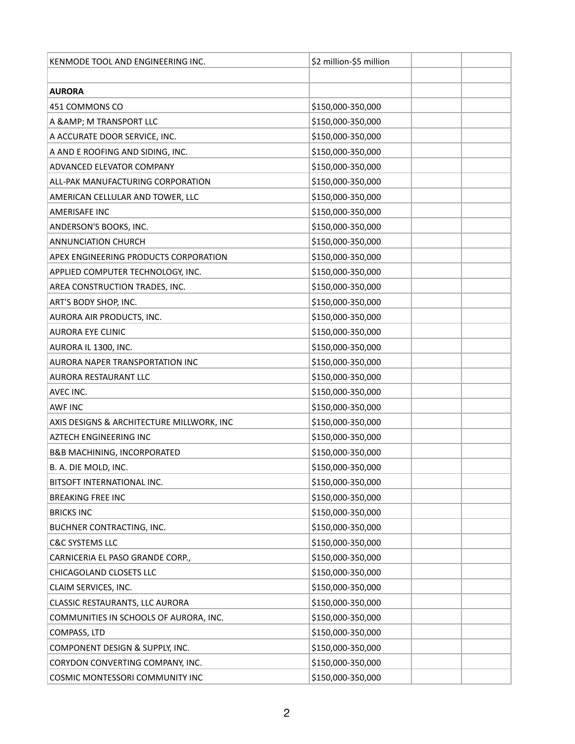| KENMODE TOOL AND ENGINEERING INC.         | \$2 million-\$5 million |
|-------------------------------------------|-------------------------|
|                                           |                         |
| <b>AURORA</b>                             |                         |
| 451 COMMONS CO                            | \$150,000-350,000       |
| A & AMP; M TRANSPORT LLC                  | \$150,000-350,000       |
| A ACCURATE DOOR SERVICE, INC.             | \$150,000-350,000       |
| A AND E ROOFING AND SIDING, INC.          | \$150,000-350,000       |
| ADVANCED ELEVATOR COMPANY                 | \$150,000-350,000       |
| ALL-PAK MANUFACTURING CORPORATION         | \$150,000-350,000       |
| AMERICAN CELLULAR AND TOWER, LLC          | \$150,000-350,000       |
| AMERISAFE INC                             | \$150,000-350,000       |
| ANDERSON'S BOOKS, INC.                    | \$150,000-350,000       |
| ANNUNCIATION CHURCH                       | \$150,000-350,000       |
| APEX ENGINEERING PRODUCTS CORPORATION     | \$150,000-350,000       |
| APPLIED COMPUTER TECHNOLOGY, INC.         | \$150,000-350,000       |
| AREA CONSTRUCTION TRADES, INC.            | \$150,000-350,000       |
| ART'S BODY SHOP, INC.                     | \$150,000-350,000       |
| AURORA AIR PRODUCTS, INC.                 | \$150,000-350,000       |
| <b>AURORA EYE CLINIC</b>                  | \$150,000-350,000       |
| AURORA IL 1300, INC.                      | \$150,000-350,000       |
| AURORA NAPER TRANSPORTATION INC           | \$150,000-350,000       |
| AURORA RESTAURANT LLC                     | \$150,000-350,000       |
| AVEC INC.                                 | \$150,000-350,000       |
| <b>AWF INC</b>                            | \$150,000-350,000       |
| AXIS DESIGNS & ARCHITECTURE MILLWORK, INC | \$150,000-350,000       |
| AZTECH ENGINEERING INC                    | \$150,000-350,000       |
| <b>B&amp;B MACHINING, INCORPORATED</b>    | \$150,000-350,000       |
| B. A. DIE MOLD, INC.                      | \$150,000-350,000       |
| BITSOFT INTERNATIONAL INC.                | \$150,000-350,000       |
| <b>BREAKING FREE INC</b>                  | \$150,000-350,000       |
| <b>BRICKS INC</b>                         | \$150,000-350,000       |
| BUCHNER CONTRACTING, INC.                 | \$150,000-350,000       |
| <b>C&amp;C SYSTEMS LLC</b>                | \$150,000-350,000       |
| CARNICERIA EL PASO GRANDE CORP.,          | \$150,000-350,000       |
| CHICAGOLAND CLOSETS LLC                   | \$150,000-350,000       |
| CLAIM SERVICES, INC.                      | \$150,000-350,000       |
| CLASSIC RESTAURANTS, LLC AURORA           | \$150,000-350,000       |
| COMMUNITIES IN SCHOOLS OF AURORA, INC.    | \$150,000-350,000       |
| COMPASS, LTD                              | \$150,000-350,000       |
| COMPONENT DESIGN & SUPPLY, INC.           | \$150,000-350,000       |
| CORYDON CONVERTING COMPANY, INC.          | \$150,000-350,000       |
| COSMIC MONTESSORI COMMUNITY INC           | \$150,000-350,000       |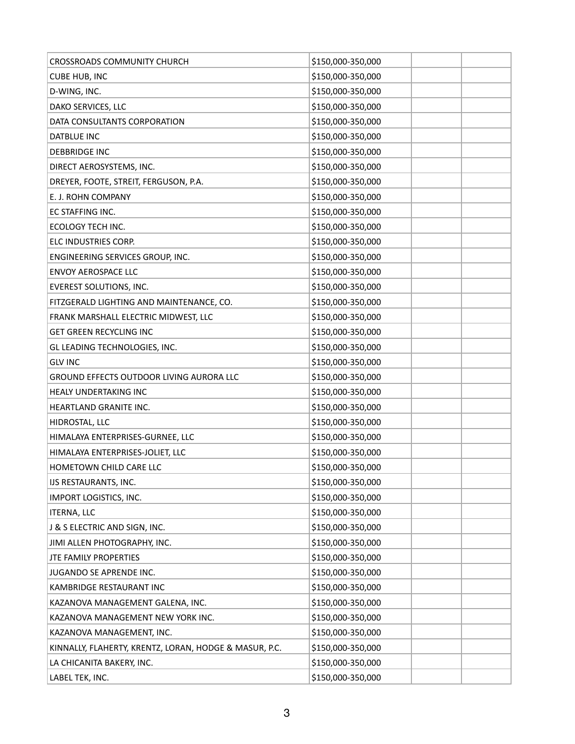| CROSSROADS COMMUNITY CHURCH                            | \$150,000-350,000 |
|--------------------------------------------------------|-------------------|
| CUBE HUB, INC                                          | \$150,000-350,000 |
| D-WING, INC.                                           | \$150,000-350,000 |
| DAKO SERVICES, LLC                                     | \$150,000-350,000 |
| DATA CONSULTANTS CORPORATION                           | \$150,000-350,000 |
| DATBLUE INC                                            | \$150,000-350,000 |
| <b>DEBBRIDGE INC</b>                                   | \$150,000-350,000 |
| DIRECT AEROSYSTEMS, INC.                               | \$150,000-350,000 |
| DREYER, FOOTE, STREIT, FERGUSON, P.A.                  | \$150,000-350,000 |
| E. J. ROHN COMPANY                                     | \$150,000-350,000 |
| EC STAFFING INC.                                       | \$150,000-350,000 |
| ECOLOGY TECH INC.                                      | \$150,000-350,000 |
| ELC INDUSTRIES CORP.                                   | \$150,000-350,000 |
| ENGINEERING SERVICES GROUP, INC.                       | \$150,000-350,000 |
| <b>ENVOY AEROSPACE LLC</b>                             | \$150,000-350,000 |
| EVEREST SOLUTIONS, INC.                                | \$150,000-350,000 |
| FITZGERALD LIGHTING AND MAINTENANCE, CO.               | \$150,000-350,000 |
| FRANK MARSHALL ELECTRIC MIDWEST, LLC                   | \$150,000-350,000 |
| <b>GET GREEN RECYCLING INC</b>                         | \$150,000-350,000 |
| GL LEADING TECHNOLOGIES, INC.                          | \$150,000-350,000 |
| <b>GLV INC</b>                                         | \$150,000-350,000 |
| GROUND EFFECTS OUTDOOR LIVING AURORA LLC               | \$150,000-350,000 |
| HEALY UNDERTAKING INC                                  | \$150,000-350,000 |
| HEARTLAND GRANITE INC.                                 | \$150,000-350,000 |
| HIDROSTAL, LLC                                         | \$150,000-350,000 |
| HIMALAYA ENTERPRISES-GURNEE, LLC                       | \$150,000-350,000 |
| HIMALAYA ENTERPRISES-JOLIET, LLC                       | \$150,000-350,000 |
| HOMETOWN CHILD CARE LLC                                | \$150,000-350,000 |
| IJS RESTAURANTS, INC.                                  | \$150,000-350,000 |
| IMPORT LOGISTICS, INC.                                 | \$150,000-350,000 |
| <b>ITERNA, LLC</b>                                     | \$150,000-350,000 |
| J & S ELECTRIC AND SIGN, INC.                          | \$150,000-350,000 |
| JIMI ALLEN PHOTOGRAPHY, INC.                           | \$150,000-350,000 |
| JTE FAMILY PROPERTIES                                  | \$150,000-350,000 |
| JUGANDO SE APRENDE INC.                                | \$150,000-350,000 |
| KAMBRIDGE RESTAURANT INC                               | \$150,000-350,000 |
| KAZANOVA MANAGEMENT GALENA, INC.                       | \$150,000-350,000 |
| KAZANOVA MANAGEMENT NEW YORK INC.                      | \$150,000-350,000 |
| KAZANOVA MANAGEMENT, INC.                              | \$150,000-350,000 |
| KINNALLY, FLAHERTY, KRENTZ, LORAN, HODGE & MASUR, P.C. | \$150,000-350,000 |
| LA CHICANITA BAKERY, INC.                              | \$150,000-350,000 |
| LABEL TEK, INC.                                        | \$150,000-350,000 |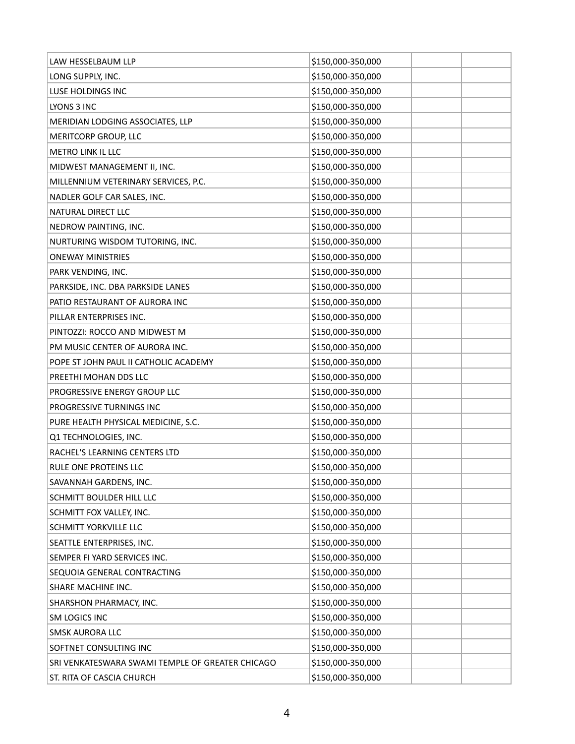| LAW HESSELBAUM LLP                               | \$150,000-350,000 |
|--------------------------------------------------|-------------------|
| LONG SUPPLY, INC.                                | \$150,000-350,000 |
| LUSE HOLDINGS INC                                | \$150,000-350,000 |
| LYONS 3 INC                                      | \$150,000-350,000 |
| MERIDIAN LODGING ASSOCIATES, LLP                 | \$150,000-350,000 |
| MERITCORP GROUP, LLC                             | \$150,000-350,000 |
| METRO LINK IL LLC                                | \$150,000-350,000 |
| MIDWEST MANAGEMENT II, INC.                      | \$150,000-350,000 |
| MILLENNIUM VETERINARY SERVICES, P.C.             | \$150,000-350,000 |
| NADLER GOLF CAR SALES, INC.                      | \$150,000-350,000 |
| NATURAL DIRECT LLC                               | \$150,000-350,000 |
| NEDROW PAINTING, INC.                            | \$150,000-350,000 |
| NURTURING WISDOM TUTORING, INC.                  | \$150,000-350,000 |
| <b>ONEWAY MINISTRIES</b>                         | \$150,000-350,000 |
| PARK VENDING, INC.                               | \$150,000-350,000 |
| PARKSIDE, INC. DBA PARKSIDE LANES                | \$150,000-350,000 |
| PATIO RESTAURANT OF AURORA INC                   | \$150,000-350,000 |
| PILLAR ENTERPRISES INC.                          | \$150,000-350,000 |
| PINTOZZI: ROCCO AND MIDWEST M                    | \$150,000-350,000 |
| PM MUSIC CENTER OF AURORA INC.                   | \$150,000-350,000 |
| POPE ST JOHN PAUL II CATHOLIC ACADEMY            | \$150,000-350,000 |
| PREETHI MOHAN DDS LLC                            | \$150,000-350,000 |
| PROGRESSIVE ENERGY GROUP LLC                     | \$150,000-350,000 |
| PROGRESSIVE TURNINGS INC                         | \$150,000-350,000 |
| PURE HEALTH PHYSICAL MEDICINE, S.C.              | \$150,000-350,000 |
| Q1 TECHNOLOGIES, INC.                            | \$150,000-350,000 |
| RACHEL'S LEARNING CENTERS LTD                    | \$150,000-350,000 |
| RULE ONE PROTEINS LLC                            | \$150,000-350,000 |
| SAVANNAH GARDENS, INC.                           | \$150,000-350,000 |
| SCHMITT BOULDER HILL LLC                         | \$150,000-350,000 |
| SCHMITT FOX VALLEY, INC.                         | \$150,000-350,000 |
| SCHMITT YORKVILLE LLC                            | \$150,000-350,000 |
| SEATTLE ENTERPRISES, INC.                        | \$150,000-350,000 |
| SEMPER FI YARD SERVICES INC.                     | \$150,000-350,000 |
| SEQUOIA GENERAL CONTRACTING                      | \$150,000-350,000 |
| SHARE MACHINE INC.                               | \$150,000-350,000 |
| SHARSHON PHARMACY, INC.                          | \$150,000-350,000 |
| SM LOGICS INC                                    | \$150,000-350,000 |
| <b>SMSK AURORA LLC</b>                           | \$150,000-350,000 |
| SOFTNET CONSULTING INC                           | \$150,000-350,000 |
| SRI VENKATESWARA SWAMI TEMPLE OF GREATER CHICAGO | \$150,000-350,000 |
| ST. RITA OF CASCIA CHURCH                        | \$150,000-350,000 |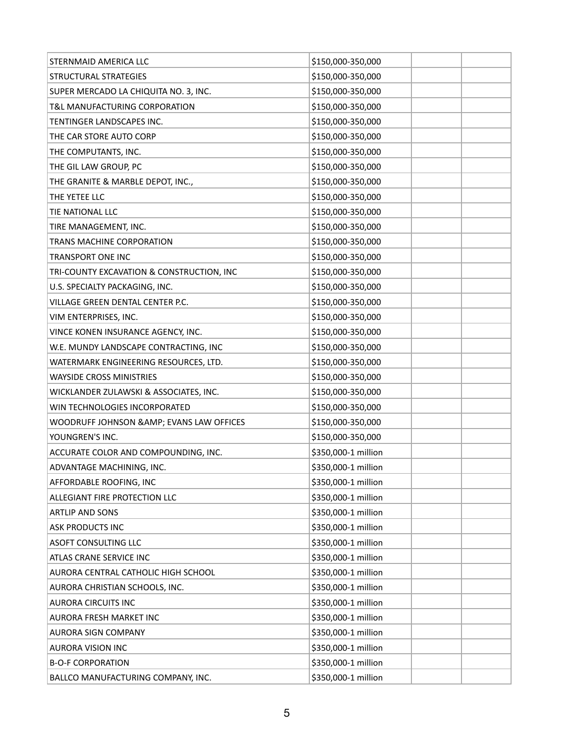| STERNMAID AMERICA LLC                     | \$150,000-350,000   |
|-------------------------------------------|---------------------|
| STRUCTURAL STRATEGIES                     | \$150,000-350,000   |
| SUPER MERCADO LA CHIQUITA NO. 3, INC.     | \$150,000-350,000   |
| T&L MANUFACTURING CORPORATION             | \$150,000-350,000   |
| TENTINGER LANDSCAPES INC.                 | \$150,000-350,000   |
| THE CAR STORE AUTO CORP                   | \$150,000-350,000   |
| THE COMPUTANTS, INC.                      | \$150,000-350,000   |
| THE GIL LAW GROUP, PC                     | \$150,000-350,000   |
| THE GRANITE & MARBLE DEPOT, INC.,         | \$150,000-350,000   |
| THE YETEE LLC                             | \$150,000-350,000   |
| TIE NATIONAL LLC                          | \$150,000-350,000   |
| TIRE MANAGEMENT, INC.                     | \$150,000-350,000   |
| TRANS MACHINE CORPORATION                 | \$150,000-350,000   |
| <b>TRANSPORT ONE INC</b>                  | \$150,000-350,000   |
| TRI-COUNTY EXCAVATION & CONSTRUCTION, INC | \$150,000-350,000   |
| U.S. SPECIALTY PACKAGING, INC.            | \$150,000-350,000   |
| VILLAGE GREEN DENTAL CENTER P.C.          | \$150,000-350,000   |
| VIM ENTERPRISES, INC.                     | \$150,000-350,000   |
| VINCE KONEN INSURANCE AGENCY, INC.        | \$150,000-350,000   |
| W.E. MUNDY LANDSCAPE CONTRACTING, INC     | \$150,000-350,000   |
| WATERMARK ENGINEERING RESOURCES, LTD.     | \$150,000-350,000   |
| <b>WAYSIDE CROSS MINISTRIES</b>           | \$150,000-350,000   |
| WICKLANDER ZULAWSKI & ASSOCIATES, INC.    | \$150,000-350,000   |
| WIN TECHNOLOGIES INCORPORATED             | \$150,000-350,000   |
| WOODRUFF JOHNSON & AMP; EVANS LAW OFFICES | \$150,000-350,000   |
| YOUNGREN'S INC.                           | \$150,000-350,000   |
| ACCURATE COLOR AND COMPOUNDING, INC.      | \$350,000-1 million |
| ADVANTAGE MACHINING, INC.                 | \$350,000-1 million |
| AFFORDABLE ROOFING, INC                   | \$350,000-1 million |
| ALLEGIANT FIRE PROTECTION LLC             | \$350,000-1 million |
| <b>ARTLIP AND SONS</b>                    | \$350,000-1 million |
| ASK PRODUCTS INC                          | \$350,000-1 million |
| ASOFT CONSULTING LLC                      | \$350,000-1 million |
| ATLAS CRANE SERVICE INC                   | \$350,000-1 million |
| AURORA CENTRAL CATHOLIC HIGH SCHOOL       | \$350,000-1 million |
| AURORA CHRISTIAN SCHOOLS, INC.            | \$350,000-1 million |
| <b>AURORA CIRCUITS INC</b>                | \$350,000-1 million |
| AURORA FRESH MARKET INC                   | \$350,000-1 million |
| AURORA SIGN COMPANY                       | \$350,000-1 million |
| <b>AURORA VISION INC</b>                  | \$350,000-1 million |
| <b>B-O-F CORPORATION</b>                  | \$350,000-1 million |
| BALLCO MANUFACTURING COMPANY, INC.        | \$350,000-1 million |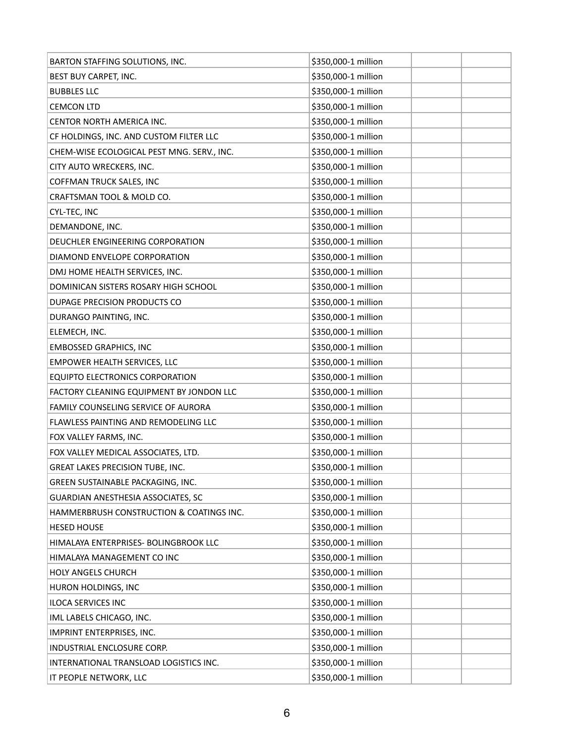| BARTON STAFFING SOLUTIONS, INC.            | \$350,000-1 million |
|--------------------------------------------|---------------------|
| BEST BUY CARPET, INC.                      | \$350,000-1 million |
| <b>BUBBLES LLC</b>                         | \$350,000-1 million |
| <b>CEMCON LTD</b>                          | \$350,000-1 million |
| CENTOR NORTH AMERICA INC.                  | \$350,000-1 million |
| CF HOLDINGS, INC. AND CUSTOM FILTER LLC    | \$350,000-1 million |
| CHEM-WISE ECOLOGICAL PEST MNG. SERV., INC. | \$350,000-1 million |
| CITY AUTO WRECKERS, INC.                   | \$350,000-1 million |
| COFFMAN TRUCK SALES, INC                   | \$350,000-1 million |
| CRAFTSMAN TOOL & MOLD CO.                  | \$350,000-1 million |
| CYL-TEC, INC                               | \$350,000-1 million |
| DEMANDONE, INC.                            | \$350,000-1 million |
| DEUCHLER ENGINEERING CORPORATION           | \$350,000-1 million |
| DIAMOND ENVELOPE CORPORATION               | \$350,000-1 million |
| DMJ HOME HEALTH SERVICES, INC.             | \$350,000-1 million |
| DOMINICAN SISTERS ROSARY HIGH SCHOOL       | \$350,000-1 million |
| DUPAGE PRECISION PRODUCTS CO               | \$350,000-1 million |
| DURANGO PAINTING, INC.                     | \$350,000-1 million |
| ELEMECH, INC.                              | \$350,000-1 million |
| <b>EMBOSSED GRAPHICS, INC</b>              | \$350,000-1 million |
| EMPOWER HEALTH SERVICES, LLC               | \$350,000-1 million |
| <b>EQUIPTO ELECTRONICS CORPORATION</b>     | \$350,000-1 million |
| FACTORY CLEANING EQUIPMENT BY JONDON LLC   | \$350,000-1 million |
| FAMILY COUNSELING SERVICE OF AURORA        | \$350,000-1 million |
| FLAWLESS PAINTING AND REMODELING LLC       | \$350,000-1 million |
| FOX VALLEY FARMS, INC.                     | \$350,000-1 million |
| FOX VALLEY MEDICAL ASSOCIATES, LTD.        | \$350,000-1 million |
| <b>GREAT LAKES PRECISION TUBE, INC.</b>    | \$350,000-1 million |
| GREEN SUSTAINABLE PACKAGING, INC.          | \$350,000-1 million |
| GUARDIAN ANESTHESIA ASSOCIATES, SC         | \$350,000-1 million |
| HAMMERBRUSH CONSTRUCTION & COATINGS INC.   | \$350,000-1 million |
| <b>HESED HOUSE</b>                         | \$350,000-1 million |
| HIMALAYA ENTERPRISES- BOLINGBROOK LLC      | \$350,000-1 million |
| HIMALAYA MANAGEMENT CO INC                 | \$350,000-1 million |
| <b>HOLY ANGELS CHURCH</b>                  | \$350,000-1 million |
| HURON HOLDINGS, INC                        | \$350,000-1 million |
| <b>ILOCA SERVICES INC</b>                  | \$350,000-1 million |
| IML LABELS CHICAGO, INC.                   | \$350,000-1 million |
| IMPRINT ENTERPRISES, INC.                  | \$350,000-1 million |
| INDUSTRIAL ENCLOSURE CORP.                 | \$350,000-1 million |
| INTERNATIONAL TRANSLOAD LOGISTICS INC.     | \$350,000-1 million |
| IT PEOPLE NETWORK, LLC                     | \$350,000-1 million |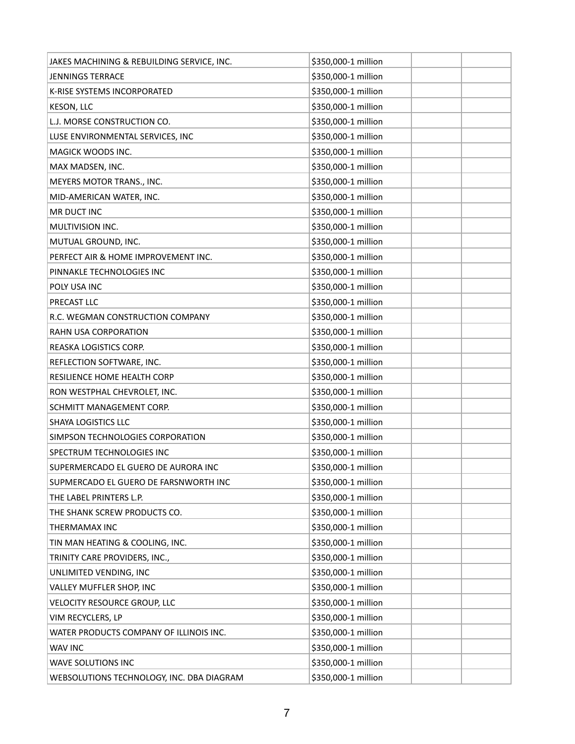| JAKES MACHINING & REBUILDING SERVICE, INC. | \$350,000-1 million |
|--------------------------------------------|---------------------|
| <b>JENNINGS TERRACE</b>                    | \$350,000-1 million |
| K-RISE SYSTEMS INCORPORATED                | \$350,000-1 million |
| <b>KESON, LLC</b>                          | \$350,000-1 million |
| L.J. MORSE CONSTRUCTION CO.                | \$350,000-1 million |
| LUSE ENVIRONMENTAL SERVICES, INC           | \$350,000-1 million |
| MAGICK WOODS INC.                          | \$350,000-1 million |
| MAX MADSEN, INC.                           | \$350,000-1 million |
| MEYERS MOTOR TRANS., INC.                  | \$350,000-1 million |
| MID-AMERICAN WATER, INC.                   | \$350,000-1 million |
| MR DUCT INC                                | \$350,000-1 million |
| MULTIVISION INC.                           | \$350,000-1 million |
| MUTUAL GROUND, INC.                        | \$350,000-1 million |
| PERFECT AIR & HOME IMPROVEMENT INC.        | \$350,000-1 million |
| PINNAKLE TECHNOLOGIES INC                  | \$350,000-1 million |
| POLY USA INC                               | \$350,000-1 million |
| PRECAST LLC                                | \$350,000-1 million |
| R.C. WEGMAN CONSTRUCTION COMPANY           | \$350,000-1 million |
| RAHN USA CORPORATION                       | \$350,000-1 million |
| REASKA LOGISTICS CORP.                     | \$350,000-1 million |
| REFLECTION SOFTWARE, INC.                  | \$350,000-1 million |
| RESILIENCE HOME HEALTH CORP                | \$350,000-1 million |
| RON WESTPHAL CHEVROLET, INC.               | \$350,000-1 million |
| SCHMITT MANAGEMENT CORP.                   | \$350,000-1 million |
| <b>SHAYA LOGISTICS LLC</b>                 | \$350,000-1 million |
| SIMPSON TECHNOLOGIES CORPORATION           | \$350,000-1 million |
| SPECTRUM TECHNOLOGIES INC                  | \$350,000-1 million |
| SUPERMERCADO EL GUERO DE AURORA INC        | \$350,000-1 million |
| SUPMERCADO EL GUERO DE FARSNWORTH INC      | \$350,000-1 million |
| THE LABEL PRINTERS L.P.                    | \$350,000-1 million |
| THE SHANK SCREW PRODUCTS CO.               | \$350,000-1 million |
| THERMAMAX INC                              | \$350,000-1 million |
| TIN MAN HEATING & COOLING, INC.            | \$350,000-1 million |
| TRINITY CARE PROVIDERS, INC.,              | \$350,000-1 million |
| UNLIMITED VENDING, INC                     | \$350,000-1 million |
| VALLEY MUFFLER SHOP, INC                   | \$350,000-1 million |
| VELOCITY RESOURCE GROUP, LLC               | \$350,000-1 million |
| VIM RECYCLERS, LP                          | \$350,000-1 million |
| WATER PRODUCTS COMPANY OF ILLINOIS INC.    | \$350,000-1 million |
| <b>WAV INC</b>                             | \$350,000-1 million |
| WAVE SOLUTIONS INC                         | \$350,000-1 million |
| WEBSOLUTIONS TECHNOLOGY, INC. DBA DIAGRAM  | \$350,000-1 million |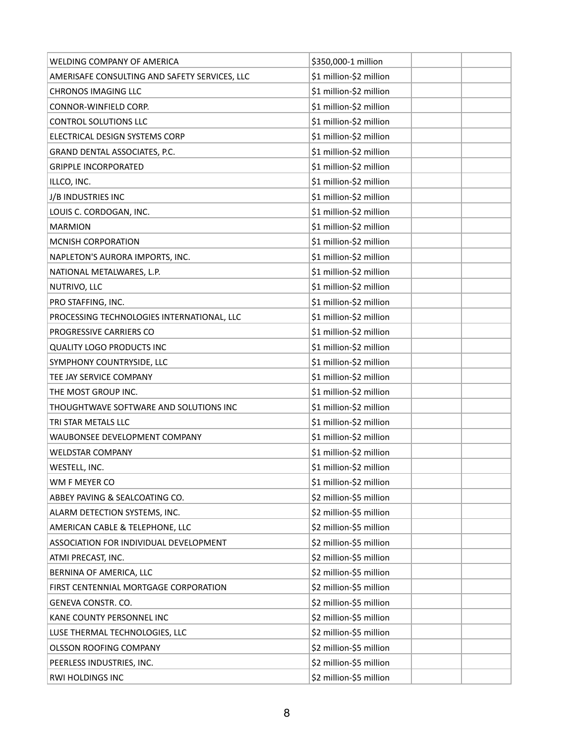| \$350,000-1 million     |
|-------------------------|
| \$1 million-\$2 million |
| \$1 million-\$2 million |
| \$1 million-\$2 million |
| \$1 million-\$2 million |
| \$1 million-\$2 million |
| \$1 million-\$2 million |
| \$1 million-\$2 million |
| \$1 million-\$2 million |
| \$1 million-\$2 million |
| \$1 million-\$2 million |
| \$1 million-\$2 million |
| \$1 million-\$2 million |
| \$1 million-\$2 million |
| \$1 million-\$2 million |
| \$1 million-\$2 million |
| \$1 million-\$2 million |
| \$1 million-\$2 million |
| \$1 million-\$2 million |
| \$1 million-\$2 million |
| \$1 million-\$2 million |
| \$1 million-\$2 million |
| \$1 million-\$2 million |
| \$1 million-\$2 million |
| \$1 million-\$2 million |
| \$1 million-\$2 million |
| \$1 million-\$2 million |
| \$1 million-\$2 million |
| \$1 million-\$2 million |
| \$2 million-\$5 million |
| \$2 million-\$5 million |
| \$2 million-\$5 million |
| \$2 million-\$5 million |
| \$2 million-\$5 million |
| \$2 million-\$5 million |
| \$2 million-\$5 million |
| \$2 million-\$5 million |
| \$2 million-\$5 million |
| \$2 million-\$5 million |
| \$2 million-\$5 million |
| \$2 million-\$5 million |
| \$2 million-\$5 million |
|                         |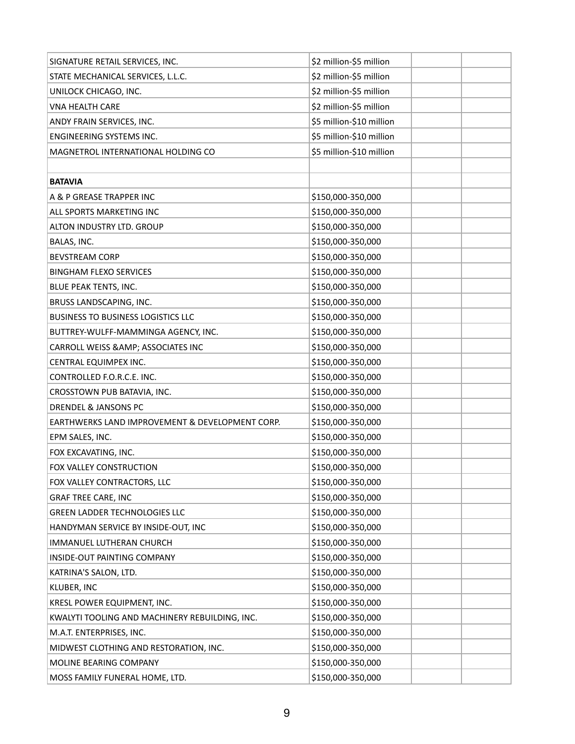| SIGNATURE RETAIL SERVICES, INC.                 | \$2 million-\$5 million  |
|-------------------------------------------------|--------------------------|
| STATE MECHANICAL SERVICES, L.L.C.               | \$2 million-\$5 million  |
| UNILOCK CHICAGO, INC.                           | \$2 million-\$5 million  |
| VNA HEALTH CARE                                 | \$2 million-\$5 million  |
| ANDY FRAIN SERVICES, INC.                       | \$5 million-\$10 million |
| ENGINEERING SYSTEMS INC.                        | \$5 million-\$10 million |
| MAGNETROL INTERNATIONAL HOLDING CO              | \$5 million-\$10 million |
|                                                 |                          |
| <b>BATAVIA</b>                                  |                          |
| A & P GREASE TRAPPER INC                        | \$150,000-350,000        |
| ALL SPORTS MARKETING INC                        | \$150,000-350,000        |
| ALTON INDUSTRY LTD. GROUP                       | \$150,000-350,000        |
| BALAS, INC.                                     | \$150,000-350,000        |
| <b>BEVSTREAM CORP</b>                           | \$150,000-350,000        |
| <b>BINGHAM FLEXO SERVICES</b>                   | \$150,000-350,000        |
| BLUE PEAK TENTS, INC.                           | \$150,000-350,000        |
| BRUSS LANDSCAPING, INC.                         | \$150,000-350,000        |
| <b>BUSINESS TO BUSINESS LOGISTICS LLC</b>       | \$150,000-350,000        |
| BUTTREY-WULFF-MAMMINGA AGENCY, INC.             | \$150,000-350,000        |
| CARROLL WEISS & AMP; ASSOCIATES INC             | \$150,000-350,000        |
| CENTRAL EQUIMPEX INC.                           | \$150,000-350,000        |
| CONTROLLED F.O.R.C.E. INC.                      | \$150,000-350,000        |
| CROSSTOWN PUB BATAVIA, INC.                     | \$150,000-350,000        |
| DRENDEL & JANSONS PC                            | \$150,000-350,000        |
| EARTHWERKS LAND IMPROVEMENT & DEVELOPMENT CORP. | \$150,000-350,000        |
| EPM SALES, INC.                                 | \$150,000-350,000        |
| FOX EXCAVATING, INC.                            | \$150,000-350,000        |
| FOX VALLEY CONSTRUCTION                         | \$150,000-350,000        |
| FOX VALLEY CONTRACTORS, LLC                     | \$150,000-350,000        |
| <b>GRAF TREE CARE, INC</b>                      | \$150,000-350,000        |
| GREEN LADDER TECHNOLOGIES LLC                   | \$150,000-350,000        |
| HANDYMAN SERVICE BY INSIDE-OUT, INC             | \$150,000-350,000        |
| IMMANUEL LUTHERAN CHURCH                        | \$150,000-350,000        |
| INSIDE-OUT PAINTING COMPANY                     | \$150,000-350,000        |
| KATRINA'S SALON, LTD.                           | \$150,000-350,000        |
| KLUBER, INC                                     | \$150,000-350,000        |
| KRESL POWER EQUIPMENT, INC.                     | \$150,000-350,000        |
| KWALYTI TOOLING AND MACHINERY REBUILDING, INC.  | \$150,000-350,000        |
| M.A.T. ENTERPRISES, INC.                        | \$150,000-350,000        |
| MIDWEST CLOTHING AND RESTORATION, INC.          | \$150,000-350,000        |
| MOLINE BEARING COMPANY                          | \$150,000-350,000        |
| MOSS FAMILY FUNERAL HOME, LTD.                  | \$150,000-350,000        |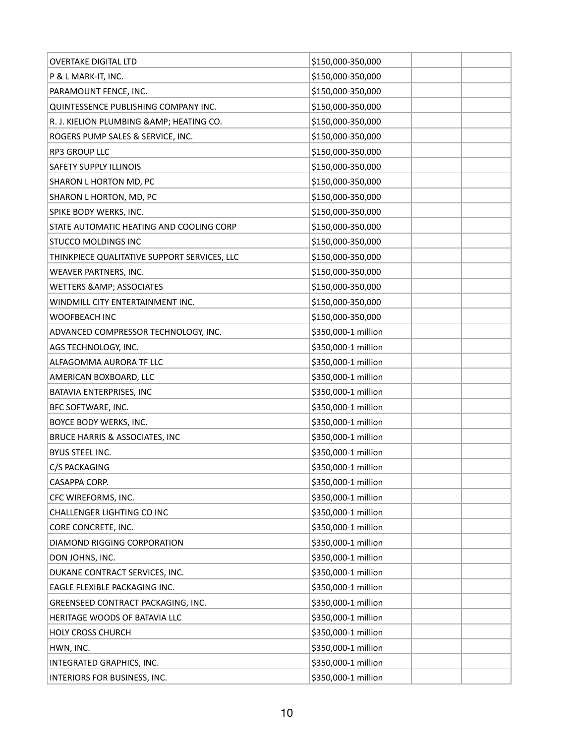| <b>OVERTAKE DIGITAL LTD</b>                  | \$150,000-350,000   |
|----------------------------------------------|---------------------|
| P & L MARK-IT, INC.                          | \$150,000-350,000   |
| PARAMOUNT FENCE, INC.                        | \$150,000-350,000   |
| QUINTESSENCE PUBLISHING COMPANY INC.         | \$150,000-350,000   |
| R. J. KIELION PLUMBING & AMP; HEATING CO.    | \$150,000-350,000   |
| ROGERS PUMP SALES & SERVICE, INC.            | \$150,000-350,000   |
| <b>RP3 GROUP LLC</b>                         | \$150,000-350,000   |
| <b>SAFETY SUPPLY ILLINOIS</b>                | \$150,000-350,000   |
| SHARON L HORTON MD, PC                       | \$150,000-350,000   |
| SHARON L HORTON, MD, PC                      | \$150,000-350,000   |
| SPIKE BODY WERKS, INC.                       | \$150,000-350,000   |
| STATE AUTOMATIC HEATING AND COOLING CORP     | \$150,000-350,000   |
| <b>STUCCO MOLDINGS INC</b>                   | \$150,000-350,000   |
| THINKPIECE QUALITATIVE SUPPORT SERVICES, LLC | \$150,000-350,000   |
| WEAVER PARTNERS, INC.                        | \$150,000-350,000   |
| <b>WETTERS &amp; AMP; ASSOCIATES</b>         | \$150,000-350,000   |
| WINDMILL CITY ENTERTAINMENT INC.             | \$150,000-350,000   |
| <b>WOOFBEACH INC</b>                         | \$150,000-350,000   |
| ADVANCED COMPRESSOR TECHNOLOGY, INC.         | \$350,000-1 million |
| AGS TECHNOLOGY, INC.                         | \$350,000-1 million |
| ALFAGOMMA AURORA TF LLC                      | \$350,000-1 million |
| AMERICAN BOXBOARD, LLC                       | \$350,000-1 million |
| BATAVIA ENTERPRISES, INC                     | \$350,000-1 million |
| BFC SOFTWARE, INC.                           | \$350,000-1 million |
| BOYCE BODY WERKS, INC.                       | \$350,000-1 million |
| BRUCE HARRIS & ASSOCIATES, INC               | \$350,000-1 million |
| BYUS STEEL INC.                              | \$350,000-1 million |
| C/S PACKAGING                                | \$350,000-1 million |
| CASAPPA CORP.                                | \$350,000-1 million |
| CFC WIREFORMS, INC.                          | \$350,000-1 million |
| CHALLENGER LIGHTING CO INC                   | \$350,000-1 million |
| CORE CONCRETE, INC.                          | \$350,000-1 million |
| DIAMOND RIGGING CORPORATION                  | \$350,000-1 million |
| DON JOHNS, INC.                              | \$350,000-1 million |
| DUKANE CONTRACT SERVICES, INC.               | \$350,000-1 million |
| EAGLE FLEXIBLE PACKAGING INC.                | \$350,000-1 million |
| GREENSEED CONTRACT PACKAGING, INC.           | \$350,000-1 million |
| HERITAGE WOODS OF BATAVIA LLC                | \$350,000-1 million |
| <b>HOLY CROSS CHURCH</b>                     | \$350,000-1 million |
| HWN, INC.                                    | \$350,000-1 million |
| INTEGRATED GRAPHICS, INC.                    | \$350,000-1 million |
| INTERIORS FOR BUSINESS, INC.                 | \$350,000-1 million |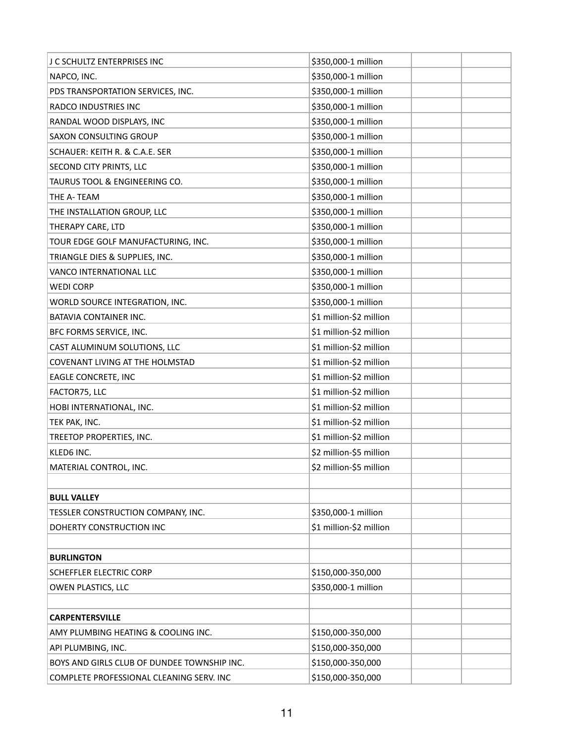| J C SCHULTZ ENTERPRISES INC                 | \$350,000-1 million     |
|---------------------------------------------|-------------------------|
| NAPCO, INC.                                 | \$350,000-1 million     |
| PDS TRANSPORTATION SERVICES, INC.           | \$350,000-1 million     |
| RADCO INDUSTRIES INC                        | \$350,000-1 million     |
| RANDAL WOOD DISPLAYS, INC                   | \$350,000-1 million     |
| SAXON CONSULTING GROUP                      | \$350,000-1 million     |
| SCHAUER: KEITH R. & C.A.E. SER              | \$350,000-1 million     |
| SECOND CITY PRINTS, LLC                     | \$350,000-1 million     |
| TAURUS TOOL & ENGINEERING CO.               | \$350,000-1 million     |
| THE A-TEAM                                  | \$350,000-1 million     |
| THE INSTALLATION GROUP, LLC                 | \$350,000-1 million     |
| THERAPY CARE, LTD                           | \$350,000-1 million     |
| TOUR EDGE GOLF MANUFACTURING, INC.          | \$350,000-1 million     |
| TRIANGLE DIES & SUPPLIES, INC.              | \$350,000-1 million     |
| VANCO INTERNATIONAL LLC                     | \$350,000-1 million     |
| <b>WEDI CORP</b>                            | \$350,000-1 million     |
| WORLD SOURCE INTEGRATION, INC.              | \$350,000-1 million     |
| BATAVIA CONTAINER INC.                      | \$1 million-\$2 million |
| BFC FORMS SERVICE, INC.                     | \$1 million-\$2 million |
| CAST ALUMINUM SOLUTIONS, LLC                | \$1 million-\$2 million |
| COVENANT LIVING AT THE HOLMSTAD             | \$1 million-\$2 million |
| EAGLE CONCRETE, INC                         | \$1 million-\$2 million |
| FACTOR75, LLC                               | \$1 million-\$2 million |
| HOBI INTERNATIONAL, INC.                    | \$1 million-\$2 million |
| TEK PAK, INC.                               | \$1 million-\$2 million |
| TREETOP PROPERTIES, INC.                    | \$1 million-\$2 million |
| KLED6 INC.                                  | \$2 million-\$5 million |
| MATERIAL CONTROL, INC.                      | \$2 million-\$5 million |
|                                             |                         |
| <b>BULL VALLEY</b>                          |                         |
| TESSLER CONSTRUCTION COMPANY, INC.          | \$350,000-1 million     |
| DOHERTY CONSTRUCTION INC                    | \$1 million-\$2 million |
|                                             |                         |
| <b>BURLINGTON</b>                           |                         |
| SCHEFFLER ELECTRIC CORP                     | \$150,000-350,000       |
| <b>OWEN PLASTICS, LLC</b>                   | \$350,000-1 million     |
|                                             |                         |
| <b>CARPENTERSVILLE</b>                      |                         |
| AMY PLUMBING HEATING & COOLING INC.         | \$150,000-350,000       |
| API PLUMBING, INC.                          | \$150,000-350,000       |
| BOYS AND GIRLS CLUB OF DUNDEE TOWNSHIP INC. | \$150,000-350,000       |
| COMPLETE PROFESSIONAL CLEANING SERV. INC    | \$150,000-350,000       |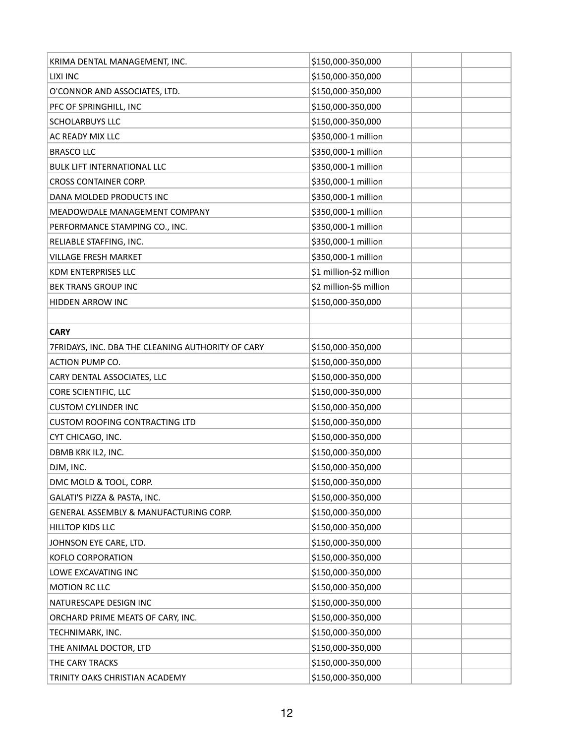| \$150,000-350,000       |  |
|-------------------------|--|
| \$150,000-350,000       |  |
| \$150,000-350,000       |  |
| \$150,000-350,000       |  |
| \$150,000-350,000       |  |
| \$350,000-1 million     |  |
| \$350,000-1 million     |  |
| \$350,000-1 million     |  |
| \$350,000-1 million     |  |
| \$350,000-1 million     |  |
| \$350,000-1 million     |  |
| \$350,000-1 million     |  |
| \$350,000-1 million     |  |
| \$350,000-1 million     |  |
| \$1 million-\$2 million |  |
| \$2 million-\$5 million |  |
| \$150,000-350,000       |  |
|                         |  |
|                         |  |
| \$150,000-350,000       |  |
| \$150,000-350,000       |  |
| \$150,000-350,000       |  |
| \$150,000-350,000       |  |
| \$150,000-350,000       |  |
| \$150,000-350,000       |  |
| \$150,000-350,000       |  |
| \$150,000-350,000       |  |
| \$150,000-350,000       |  |
| \$150,000-350,000       |  |
| \$150,000-350,000       |  |
| \$150,000-350,000       |  |
| \$150,000-350,000       |  |
| \$150,000-350,000       |  |
| \$150,000-350,000       |  |
| \$150,000-350,000       |  |
| \$150,000-350,000       |  |
| \$150,000-350,000       |  |
| \$150,000-350,000       |  |
| \$150,000-350,000       |  |
| \$150,000-350,000       |  |
|                         |  |
| \$150,000-350,000       |  |
|                         |  |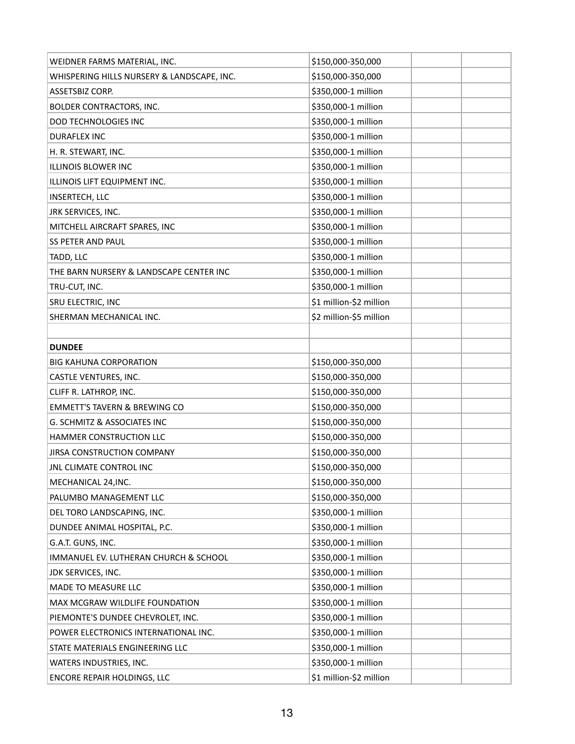| WEIDNER FARMS MATERIAL, INC.               | \$150,000-350,000       |
|--------------------------------------------|-------------------------|
| WHISPERING HILLS NURSERY & LANDSCAPE, INC. | \$150,000-350,000       |
| ASSETSBIZ CORP.                            | \$350,000-1 million     |
| BOLDER CONTRACTORS, INC.                   | \$350,000-1 million     |
| <b>DOD TECHNOLOGIES INC</b>                | \$350,000-1 million     |
| <b>DURAFLEX INC</b>                        | \$350,000-1 million     |
| H. R. STEWART, INC.                        | \$350,000-1 million     |
| <b>ILLINOIS BLOWER INC</b>                 | \$350,000-1 million     |
| ILLINOIS LIFT EQUIPMENT INC.               | \$350,000-1 million     |
| INSERTECH, LLC                             | \$350,000-1 million     |
| JRK SERVICES, INC.                         | \$350,000-1 million     |
| MITCHELL AIRCRAFT SPARES, INC              | \$350,000-1 million     |
| SS PETER AND PAUL                          | \$350,000-1 million     |
| TADD, LLC                                  | \$350,000-1 million     |
| THE BARN NURSERY & LANDSCAPE CENTER INC    | \$350,000-1 million     |
| TRU-CUT, INC.                              | \$350,000-1 million     |
| SRU ELECTRIC, INC                          | \$1 million-\$2 million |
| SHERMAN MECHANICAL INC.                    | \$2 million-\$5 million |
|                                            |                         |
| <b>DUNDEE</b>                              |                         |
| <b>BIG KAHUNA CORPORATION</b>              | \$150,000-350,000       |
| CASTLE VENTURES, INC.                      | \$150,000-350,000       |
| CLIFF R. LATHROP, INC.                     | \$150,000-350,000       |
| <b>EMMETT'S TAVERN &amp; BREWING CO</b>    | \$150,000-350,000       |
| G. SCHMITZ & ASSOCIATES INC                | \$150,000-350,000       |
| HAMMER CONSTRUCTION LLC                    | \$150,000-350,000       |
| <b>JIRSA CONSTRUCTION COMPANY</b>          | \$150,000-350,000       |
| JNL CLIMATE CONTROL INC                    | \$150,000-350,000       |
| MECHANICAL 24, INC.                        | \$150,000-350,000       |
| PALUMBO MANAGEMENT LLC                     | \$150,000-350,000       |
| DEL TORO LANDSCAPING, INC.                 | \$350,000-1 million     |
| DUNDEE ANIMAL HOSPITAL, P.C.               | \$350,000-1 million     |
| G.A.T. GUNS, INC.                          | \$350,000-1 million     |
| IMMANUEL EV. LUTHERAN CHURCH & SCHOOL      | \$350,000-1 million     |
| JDK SERVICES, INC.                         | \$350,000-1 million     |
| MADE TO MEASURE LLC                        | \$350,000-1 million     |
| MAX MCGRAW WILDLIFE FOUNDATION             | \$350,000-1 million     |
| PIEMONTE'S DUNDEE CHEVROLET, INC.          | \$350,000-1 million     |
| POWER ELECTRONICS INTERNATIONAL INC.       | \$350,000-1 million     |
| STATE MATERIALS ENGINEERING LLC            | \$350,000-1 million     |
| WATERS INDUSTRIES, INC.                    | \$350,000-1 million     |
| ENCORE REPAIR HOLDINGS, LLC                | \$1 million-\$2 million |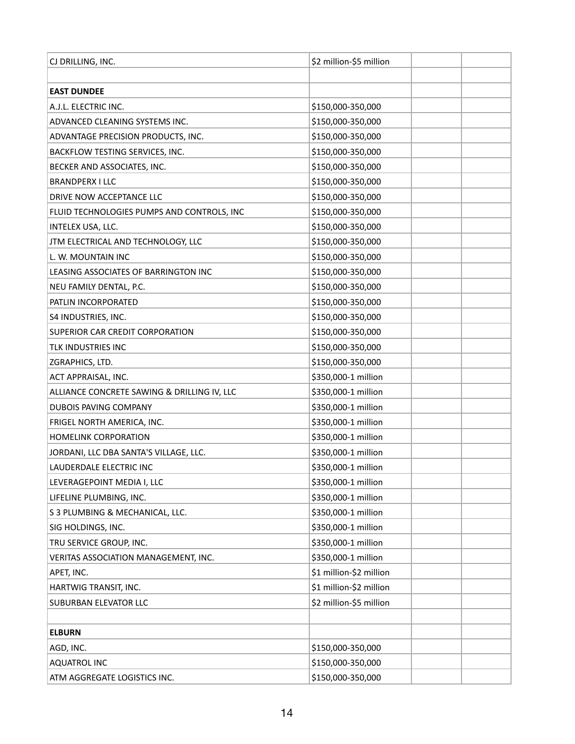| CJ DRILLING, INC.                           | \$2 million-\$5 million |
|---------------------------------------------|-------------------------|
|                                             |                         |
| <b>EAST DUNDEE</b>                          |                         |
| A.J.L. ELECTRIC INC.                        | \$150,000-350,000       |
| ADVANCED CLEANING SYSTEMS INC.              | \$150,000-350,000       |
| ADVANTAGE PRECISION PRODUCTS, INC.          | \$150,000-350,000       |
| BACKFLOW TESTING SERVICES, INC.             | \$150,000-350,000       |
| BECKER AND ASSOCIATES, INC.                 | \$150,000-350,000       |
| <b>BRANDPERX I LLC</b>                      | \$150,000-350,000       |
| DRIVE NOW ACCEPTANCE LLC                    | \$150,000-350,000       |
| FLUID TECHNOLOGIES PUMPS AND CONTROLS, INC  | \$150,000-350,000       |
| INTELEX USA, LLC.                           | \$150,000-350,000       |
| JTM ELECTRICAL AND TECHNOLOGY, LLC          | \$150,000-350,000       |
| L. W. MOUNTAIN INC                          | \$150,000-350,000       |
| LEASING ASSOCIATES OF BARRINGTON INC        | \$150,000-350,000       |
| NEU FAMILY DENTAL, P.C.                     | \$150,000-350,000       |
| PATLIN INCORPORATED                         | \$150,000-350,000       |
| S4 INDUSTRIES, INC.                         | \$150,000-350,000       |
| SUPERIOR CAR CREDIT CORPORATION             | \$150,000-350,000       |
| TLK INDUSTRIES INC                          | \$150,000-350,000       |
| ZGRAPHICS, LTD.                             | \$150,000-350,000       |
| ACT APPRAISAL, INC.                         | \$350,000-1 million     |
| ALLIANCE CONCRETE SAWING & DRILLING IV, LLC | \$350,000-1 million     |
| DUBOIS PAVING COMPANY                       | \$350,000-1 million     |
| FRIGEL NORTH AMERICA, INC.                  | \$350,000-1 million     |
| HOMELINK CORPORATION                        | \$350,000-1 million     |
| JORDANI, LLC DBA SANTA'S VILLAGE, LLC.      | \$350,000-1 million     |
| LAUDERDALE ELECTRIC INC                     | \$350,000-1 million     |
| LEVERAGEPOINT MEDIA I, LLC                  | \$350,000-1 million     |
| LIFELINE PLUMBING, INC.                     | \$350,000-1 million     |
| S 3 PLUMBING & MECHANICAL, LLC.             | \$350,000-1 million     |
| SIG HOLDINGS, INC.                          | \$350,000-1 million     |
| TRU SERVICE GROUP, INC.                     | \$350,000-1 million     |
| VERITAS ASSOCIATION MANAGEMENT, INC.        | \$350,000-1 million     |
| APET, INC.                                  | \$1 million-\$2 million |
| HARTWIG TRANSIT, INC.                       | \$1 million-\$2 million |
| SUBURBAN ELEVATOR LLC                       | \$2 million-\$5 million |
|                                             |                         |
| <b>ELBURN</b>                               |                         |
| AGD, INC.                                   | \$150,000-350,000       |
| <b>AQUATROL INC</b>                         | \$150,000-350,000       |
| ATM AGGREGATE LOGISTICS INC.                | \$150,000-350,000       |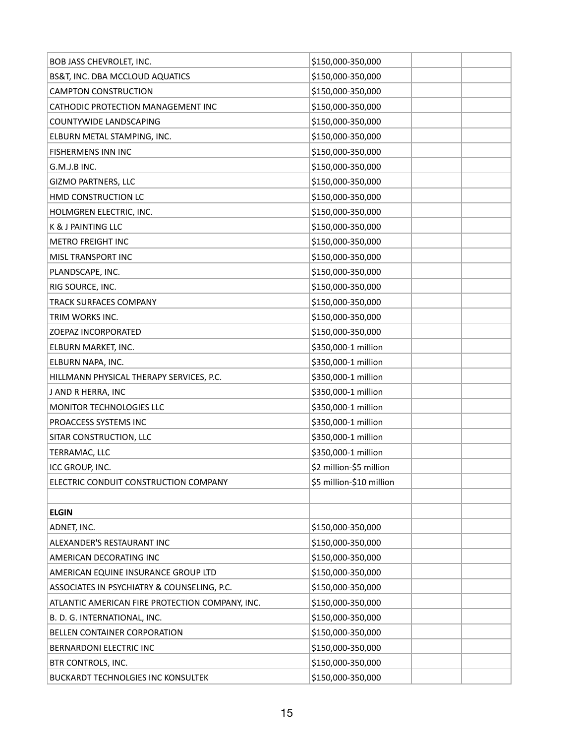| BOB JASS CHEVROLET, INC.                        | \$150,000-350,000        |
|-------------------------------------------------|--------------------------|
| BS&T, INC. DBA MCCLOUD AQUATICS                 | \$150,000-350,000        |
| <b>CAMPTON CONSTRUCTION</b>                     | \$150,000-350,000        |
| CATHODIC PROTECTION MANAGEMENT INC              | \$150,000-350,000        |
| COUNTYWIDE LANDSCAPING                          | \$150,000-350,000        |
| ELBURN METAL STAMPING, INC.                     | \$150,000-350,000        |
| FISHERMENS INN INC                              | \$150,000-350,000        |
| G.M.J.B INC.                                    | \$150,000-350,000        |
| <b>GIZMO PARTNERS, LLC</b>                      | \$150,000-350,000        |
| HMD CONSTRUCTION LC                             | \$150,000-350,000        |
| HOLMGREN ELECTRIC, INC.                         | \$150,000-350,000        |
| K & J PAINTING LLC                              | \$150,000-350,000        |
| <b>METRO FREIGHT INC</b>                        | \$150,000-350,000        |
| MISL TRANSPORT INC                              | \$150,000-350,000        |
| PLANDSCAPE, INC.                                | \$150,000-350,000        |
| RIG SOURCE, INC.                                | \$150,000-350,000        |
| TRACK SURFACES COMPANY                          | \$150,000-350,000        |
| TRIM WORKS INC.                                 | \$150,000-350,000        |
| ZOEPAZ INCORPORATED                             | \$150,000-350,000        |
| ELBURN MARKET, INC.                             | \$350,000-1 million      |
| ELBURN NAPA, INC.                               | \$350,000-1 million      |
| HILLMANN PHYSICAL THERAPY SERVICES, P.C.        | \$350,000-1 million      |
| J AND R HERRA, INC                              | \$350,000-1 million      |
| MONITOR TECHNOLOGIES LLC                        | \$350,000-1 million      |
| PROACCESS SYSTEMS INC                           | \$350,000-1 million      |
| SITAR CONSTRUCTION, LLC                         | \$350,000-1 million      |
| TERRAMAC, LLC                                   | \$350,000-1 million      |
| ICC GROUP, INC.                                 | \$2 million-\$5 million  |
| ELECTRIC CONDUIT CONSTRUCTION COMPANY           | \$5 million-\$10 million |
|                                                 |                          |
| <b>ELGIN</b>                                    |                          |
| ADNET, INC.                                     | \$150,000-350,000        |
| ALEXANDER'S RESTAURANT INC                      | \$150,000-350,000        |
| AMERICAN DECORATING INC                         | \$150,000-350,000        |
| AMERICAN EQUINE INSURANCE GROUP LTD             | \$150,000-350,000        |
| ASSOCIATES IN PSYCHIATRY & COUNSELING, P.C.     | \$150,000-350,000        |
| ATLANTIC AMERICAN FIRE PROTECTION COMPANY, INC. | \$150,000-350,000        |
| B. D. G. INTERNATIONAL, INC.                    | \$150,000-350,000        |
| BELLEN CONTAINER CORPORATION                    | \$150,000-350,000        |
| BERNARDONI ELECTRIC INC                         | \$150,000-350,000        |
| BTR CONTROLS, INC.                              | \$150,000-350,000        |
| <b>BUCKARDT TECHNOLGIES INC KONSULTEK</b>       | \$150,000-350,000        |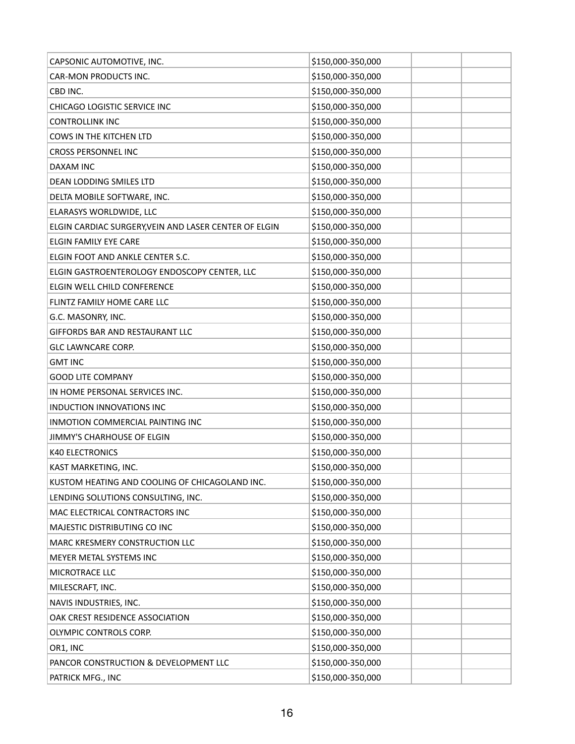| CAPSONIC AUTOMOTIVE, INC.                             | \$150,000-350,000 |
|-------------------------------------------------------|-------------------|
| CAR-MON PRODUCTS INC.                                 | \$150,000-350,000 |
| CBD INC.                                              | \$150,000-350,000 |
| <b>CHICAGO LOGISTIC SERVICE INC</b>                   | \$150,000-350,000 |
| <b>CONTROLLINK INC</b>                                | \$150,000-350,000 |
| COWS IN THE KITCHEN LTD                               | \$150,000-350,000 |
| <b>CROSS PERSONNEL INC</b>                            | \$150,000-350,000 |
| DAXAM INC                                             | \$150,000-350,000 |
| <b>DEAN LODDING SMILES LTD</b>                        | \$150,000-350,000 |
| DELTA MOBILE SOFTWARE, INC.                           | \$150,000-350,000 |
| ELARASYS WORLDWIDE, LLC                               | \$150,000-350,000 |
| ELGIN CARDIAC SURGERY, VEIN AND LASER CENTER OF ELGIN | \$150,000-350,000 |
| ELGIN FAMILY EYE CARE                                 | \$150,000-350,000 |
| ELGIN FOOT AND ANKLE CENTER S.C.                      | \$150,000-350,000 |
| ELGIN GASTROENTEROLOGY ENDOSCOPY CENTER, LLC          | \$150,000-350,000 |
| ELGIN WELL CHILD CONFERENCE                           | \$150,000-350,000 |
| FLINTZ FAMILY HOME CARE LLC                           | \$150,000-350,000 |
| G.C. MASONRY, INC.                                    | \$150,000-350,000 |
| GIFFORDS BAR AND RESTAURANT LLC                       | \$150,000-350,000 |
| <b>GLC LAWNCARE CORP.</b>                             | \$150,000-350,000 |
| <b>GMT INC</b>                                        | \$150,000-350,000 |
| <b>GOOD LITE COMPANY</b>                              | \$150,000-350,000 |
| IN HOME PERSONAL SERVICES INC.                        | \$150,000-350,000 |
| INDUCTION INNOVATIONS INC                             | \$150,000-350,000 |
| INMOTION COMMERCIAL PAINTING INC                      | \$150,000-350,000 |
| JIMMY'S CHARHOUSE OF ELGIN                            | \$150,000-350,000 |
| <b>K40 ELECTRONICS</b>                                | \$150,000-350,000 |
| KAST MARKETING, INC.                                  | \$150,000-350,000 |
| KUSTOM HEATING AND COOLING OF CHICAGOLAND INC.        | \$150,000-350,000 |
| LENDING SOLUTIONS CONSULTING, INC.                    | \$150,000-350,000 |
| MAC ELECTRICAL CONTRACTORS INC                        | \$150,000-350,000 |
| MAJESTIC DISTRIBUTING CO INC                          | \$150,000-350,000 |
| MARC KRESMERY CONSTRUCTION LLC                        | \$150,000-350,000 |
| MEYER METAL SYSTEMS INC                               | \$150,000-350,000 |
| MICROTRACE LLC                                        | \$150,000-350,000 |
| MILESCRAFT, INC.                                      | \$150,000-350,000 |
| NAVIS INDUSTRIES, INC.                                | \$150,000-350,000 |
| OAK CREST RESIDENCE ASSOCIATION                       | \$150,000-350,000 |
| OLYMPIC CONTROLS CORP.                                | \$150,000-350,000 |
| OR1, INC                                              | \$150,000-350,000 |
| PANCOR CONSTRUCTION & DEVELOPMENT LLC                 | \$150,000-350,000 |
| PATRICK MFG., INC                                     | \$150,000-350,000 |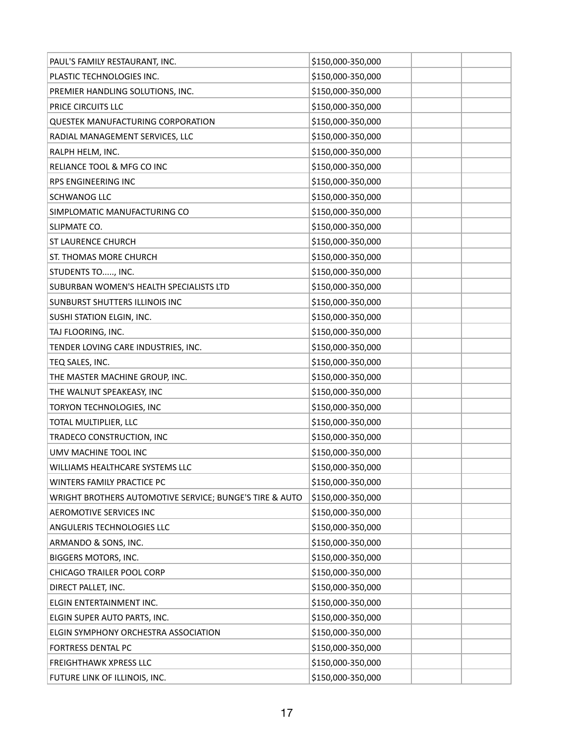| PAUL'S FAMILY RESTAURANT, INC.                          | \$150,000-350,000 |
|---------------------------------------------------------|-------------------|
| PLASTIC TECHNOLOGIES INC.                               | \$150,000-350,000 |
| PREMIER HANDLING SOLUTIONS, INC.                        | \$150,000-350,000 |
| PRICE CIRCUITS LLC                                      | \$150,000-350,000 |
| <b>QUESTEK MANUFACTURING CORPORATION</b>                | \$150,000-350,000 |
| RADIAL MANAGEMENT SERVICES, LLC                         | \$150,000-350,000 |
| RALPH HELM, INC.                                        | \$150,000-350,000 |
| RELIANCE TOOL & MFG CO INC                              | \$150,000-350,000 |
| RPS ENGINEERING INC                                     | \$150,000-350,000 |
| <b>SCHWANOG LLC</b>                                     | \$150,000-350,000 |
| SIMPLOMATIC MANUFACTURING CO                            | \$150,000-350,000 |
| SLIPMATE CO.                                            | \$150,000-350,000 |
| <b>ST LAURENCE CHURCH</b>                               | \$150,000-350,000 |
| ST. THOMAS MORE CHURCH                                  | \$150,000-350,000 |
| STUDENTS TO, INC.                                       | \$150,000-350,000 |
| SUBURBAN WOMEN'S HEALTH SPECIALISTS LTD                 | \$150,000-350,000 |
| SUNBURST SHUTTERS ILLINOIS INC                          | \$150,000-350,000 |
| SUSHI STATION ELGIN, INC.                               | \$150,000-350,000 |
| TAJ FLOORING, INC.                                      | \$150,000-350,000 |
| TENDER LOVING CARE INDUSTRIES, INC.                     | \$150,000-350,000 |
| TEQ SALES, INC.                                         | \$150,000-350,000 |
| THE MASTER MACHINE GROUP, INC.                          | \$150,000-350,000 |
| THE WALNUT SPEAKEASY, INC                               | \$150,000-350,000 |
| TORYON TECHNOLOGIES, INC                                | \$150,000-350,000 |
| TOTAL MULTIPLIER, LLC                                   | \$150,000-350,000 |
| TRADECO CONSTRUCTION, INC                               | \$150,000-350,000 |
| UMV MACHINE TOOL INC                                    | \$150,000-350,000 |
| WILLIAMS HEALTHCARE SYSTEMS LLC                         | \$150,000-350,000 |
| WINTERS FAMILY PRACTICE PC                              | \$150,000-350,000 |
| WRIGHT BROTHERS AUTOMOTIVE SERVICE; BUNGE'S TIRE & AUTO | \$150,000-350,000 |
| AEROMOTIVE SERVICES INC                                 | \$150,000-350,000 |
| ANGULERIS TECHNOLOGIES LLC                              | \$150,000-350,000 |
| ARMANDO & SONS, INC.                                    | \$150,000-350,000 |
| BIGGERS MOTORS, INC.                                    | \$150,000-350,000 |
| CHICAGO TRAILER POOL CORP                               | \$150,000-350,000 |
| DIRECT PALLET, INC.                                     | \$150,000-350,000 |
| ELGIN ENTERTAINMENT INC.                                | \$150,000-350,000 |
| ELGIN SUPER AUTO PARTS, INC.                            | \$150,000-350,000 |
| ELGIN SYMPHONY ORCHESTRA ASSOCIATION                    | \$150,000-350,000 |
| FORTRESS DENTAL PC                                      | \$150,000-350,000 |
| <b>FREIGHTHAWK XPRESS LLC</b>                           | \$150,000-350,000 |
| FUTURE LINK OF ILLINOIS, INC.                           | \$150,000-350,000 |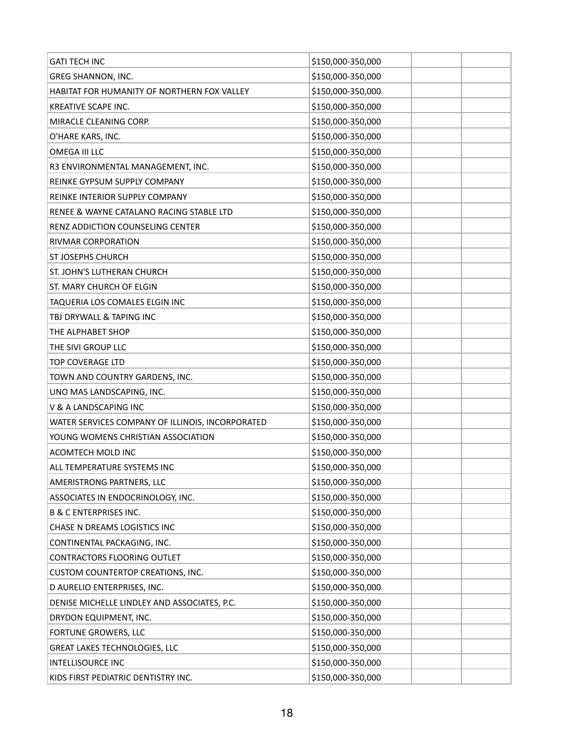| <b>GATI TECH INC</b>                             | \$150,000-350,000 |
|--------------------------------------------------|-------------------|
| <b>GREG SHANNON, INC.</b>                        | \$150,000-350,000 |
| HABITAT FOR HUMANITY OF NORTHERN FOX VALLEY      | \$150,000-350,000 |
| <b>KREATIVE SCAPE INC.</b>                       | \$150,000-350,000 |
| MIRACLE CLEANING CORP.                           | \$150,000-350,000 |
| O'HARE KARS, INC.                                | \$150,000-350,000 |
| OMEGA III LLC                                    | \$150,000-350,000 |
| R3 ENVIRONMENTAL MANAGEMENT, INC.                | \$150,000-350,000 |
| REINKE GYPSUM SUPPLY COMPANY                     | \$150,000-350,000 |
| REINKE INTERIOR SUPPLY COMPANY                   | \$150,000-350,000 |
| RENEE & WAYNE CATALANO RACING STABLE LTD         | \$150,000-350,000 |
| RENZ ADDICTION COUNSELING CENTER                 | \$150,000-350,000 |
| RIVMAR CORPORATION                               | \$150,000-350,000 |
| <b>ST JOSEPHS CHURCH</b>                         | \$150,000-350,000 |
| ST. JOHN'S LUTHERAN CHURCH                       | \$150,000-350,000 |
| ST. MARY CHURCH OF ELGIN                         | \$150,000-350,000 |
| TAQUERIA LOS COMALES ELGIN INC                   | \$150,000-350,000 |
| TBJ DRYWALL & TAPING INC                         | \$150,000-350,000 |
| THE ALPHABET SHOP                                | \$150,000-350,000 |
| THE SIVI GROUP LLC                               | \$150,000-350,000 |
| TOP COVERAGE LTD                                 | \$150,000-350,000 |
| TOWN AND COUNTRY GARDENS, INC.                   | \$150,000-350,000 |
| UNO MAS LANDSCAPING, INC.                        | \$150,000-350,000 |
| V & A LANDSCAPING INC                            | \$150,000-350,000 |
| WATER SERVICES COMPANY OF ILLINOIS, INCORPORATED | \$150,000-350,000 |
| YOUNG WOMENS CHRISTIAN ASSOCIATION               | \$150,000-350,000 |
| ACOMTECH MOLD INC                                | \$150,000-350,000 |
| ALL TEMPERATURE SYSTEMS INC                      | \$150,000-350,000 |
| AMERISTRONG PARTNERS, LLC                        | \$150,000-350,000 |
| ASSOCIATES IN ENDOCRINOLOGY, INC.                | \$150,000-350,000 |
| <b>B &amp; C ENTERPRISES INC.</b>                | \$150,000-350,000 |
| CHASE N DREAMS LOGISTICS INC                     | \$150,000-350,000 |
| CONTINENTAL PACKAGING, INC.                      | \$150,000-350,000 |
| CONTRACTORS FLOORING OUTLET                      | \$150,000-350,000 |
| CUSTOM COUNTERTOP CREATIONS, INC.                | \$150,000-350,000 |
| D AURELIO ENTERPRISES, INC.                      | \$150,000-350,000 |
| DENISE MICHELLE LINDLEY AND ASSOCIATES, P.C.     | \$150,000-350,000 |
| DRYDON EQUIPMENT, INC.                           | \$150,000-350,000 |
| FORTUNE GROWERS, LLC                             | \$150,000-350,000 |
| GREAT LAKES TECHNOLOGIES, LLC                    | \$150,000-350,000 |
| INTELLISOURCE INC                                | \$150,000-350,000 |
| KIDS FIRST PEDIATRIC DENTISTRY INC.              | \$150,000-350,000 |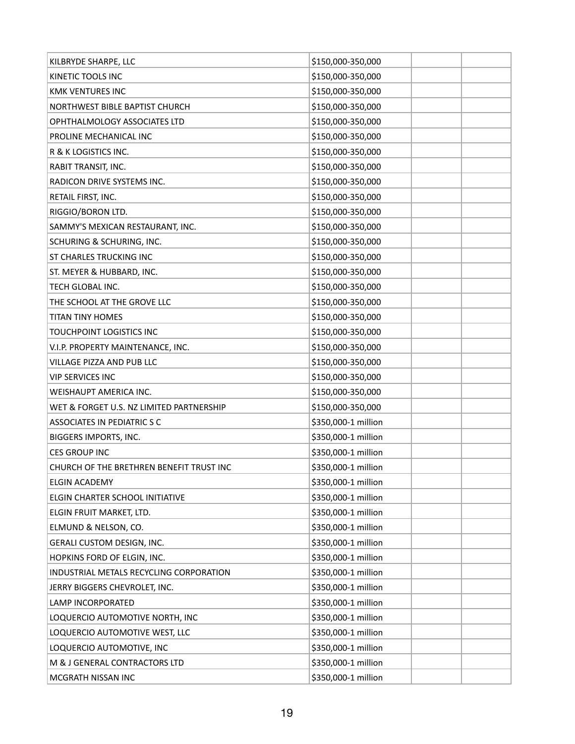| KILBRYDE SHARPE, LLC                     | \$150,000-350,000   |
|------------------------------------------|---------------------|
| KINETIC TOOLS INC                        | \$150,000-350,000   |
| <b>KMK VENTURES INC</b>                  | \$150,000-350,000   |
| NORTHWEST BIBLE BAPTIST CHURCH           | \$150,000-350,000   |
| OPHTHALMOLOGY ASSOCIATES LTD             | \$150,000-350,000   |
| PROLINE MECHANICAL INC                   | \$150,000-350,000   |
| R & K LOGISTICS INC.                     | \$150,000-350,000   |
| RABIT TRANSIT, INC.                      | \$150,000-350,000   |
| RADICON DRIVE SYSTEMS INC.               | \$150,000-350,000   |
| RETAIL FIRST, INC.                       | \$150,000-350,000   |
| RIGGIO/BORON LTD.                        | \$150,000-350,000   |
| SAMMY'S MEXICAN RESTAURANT, INC.         | \$150,000-350,000   |
| SCHURING & SCHURING, INC.                | \$150,000-350,000   |
| ST CHARLES TRUCKING INC                  | \$150,000-350,000   |
| ST. MEYER & HUBBARD, INC.                | \$150,000-350,000   |
| <b>TECH GLOBAL INC.</b>                  | \$150,000-350,000   |
| THE SCHOOL AT THE GROVE LLC              | \$150,000-350,000   |
| <b>TITAN TINY HOMES</b>                  | \$150,000-350,000   |
| TOUCHPOINT LOGISTICS INC                 | \$150,000-350,000   |
| V.I.P. PROPERTY MAINTENANCE, INC.        | \$150,000-350,000   |
| <b>VILLAGE PIZZA AND PUB LLC</b>         | \$150,000-350,000   |
| <b>VIP SERVICES INC</b>                  | \$150,000-350,000   |
| <b>WEISHAUPT AMERICA INC.</b>            | \$150,000-350,000   |
| WET & FORGET U.S. NZ LIMITED PARTNERSHIP | \$150,000-350,000   |
| ASSOCIATES IN PEDIATRICS C               | \$350,000-1 million |
| BIGGERS IMPORTS, INC.                    | \$350,000-1 million |
| <b>CES GROUP INC</b>                     | \$350,000-1 million |
| CHURCH OF THE BRETHREN BENEFIT TRUST INC | \$350,000-1 million |
| <b>ELGIN ACADEMY</b>                     | \$350,000-1 million |
| ELGIN CHARTER SCHOOL INITIATIVE          | \$350,000-1 million |
| ELGIN FRUIT MARKET, LTD.                 | \$350,000-1 million |
| ELMUND & NELSON, CO.                     | \$350,000-1 million |
| GERALI CUSTOM DESIGN, INC.               | \$350,000-1 million |
| HOPKINS FORD OF ELGIN, INC.              | \$350,000-1 million |
| INDUSTRIAL METALS RECYCLING CORPORATION  | \$350,000-1 million |
| JERRY BIGGERS CHEVROLET, INC.            | \$350,000-1 million |
| LAMP INCORPORATED                        | \$350,000-1 million |
| LOQUERCIO AUTOMOTIVE NORTH, INC          | \$350,000-1 million |
| LOQUERCIO AUTOMOTIVE WEST, LLC           | \$350,000-1 million |
| LOQUERCIO AUTOMOTIVE, INC                | \$350,000-1 million |
| M & J GENERAL CONTRACTORS LTD            | \$350,000-1 million |
| MCGRATH NISSAN INC                       | \$350,000-1 million |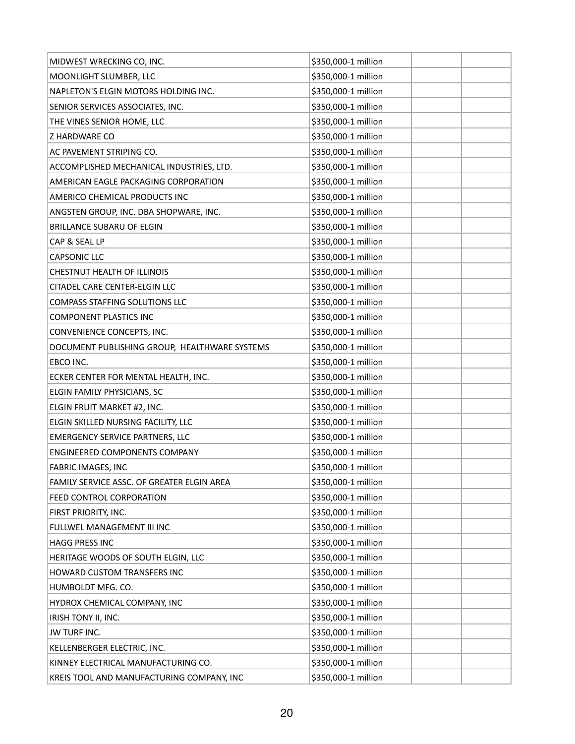| MIDWEST WRECKING CO, INC.                     | \$350,000-1 million |
|-----------------------------------------------|---------------------|
| MOONLIGHT SLUMBER, LLC                        | \$350,000-1 million |
| NAPLETON'S ELGIN MOTORS HOLDING INC.          | \$350,000-1 million |
| SENIOR SERVICES ASSOCIATES, INC.              | \$350,000-1 million |
| THE VINES SENIOR HOME, LLC                    | \$350,000-1 million |
| Z HARDWARE CO                                 | \$350,000-1 million |
| AC PAVEMENT STRIPING CO.                      | \$350,000-1 million |
| ACCOMPLISHED MECHANICAL INDUSTRIES, LTD.      | \$350,000-1 million |
| AMERICAN EAGLE PACKAGING CORPORATION          | \$350,000-1 million |
| AMERICO CHEMICAL PRODUCTS INC                 | \$350,000-1 million |
| ANGSTEN GROUP, INC. DBA SHOPWARE, INC.        | \$350,000-1 million |
| BRILLANCE SUBARU OF ELGIN                     | \$350,000-1 million |
| CAP & SEAL LP                                 | \$350,000-1 million |
| <b>CAPSONIC LLC</b>                           | \$350,000-1 million |
| <b>CHESTNUT HEALTH OF ILLINOIS</b>            | \$350,000-1 million |
| CITADEL CARE CENTER-ELGIN LLC                 | \$350,000-1 million |
| COMPASS STAFFING SOLUTIONS LLC                | \$350,000-1 million |
| <b>COMPONENT PLASTICS INC</b>                 | \$350,000-1 million |
| CONVENIENCE CONCEPTS, INC.                    | \$350,000-1 million |
| DOCUMENT PUBLISHING GROUP, HEALTHWARE SYSTEMS | \$350,000-1 million |
| EBCO INC.                                     | \$350,000-1 million |
| ECKER CENTER FOR MENTAL HEALTH, INC.          | \$350,000-1 million |
| ELGIN FAMILY PHYSICIANS, SC                   | \$350,000-1 million |
| ELGIN FRUIT MARKET #2, INC.                   | \$350,000-1 million |
| ELGIN SKILLED NURSING FACILITY, LLC           | \$350,000-1 million |
| <b>EMERGENCY SERVICE PARTNERS, LLC</b>        | \$350,000-1 million |
| ENGINEERED COMPONENTS COMPANY                 | \$350,000-1 million |
| FABRIC IMAGES, INC                            | \$350,000-1 million |
| FAMILY SERVICE ASSC. OF GREATER ELGIN AREA    | \$350,000-1 million |
| FEED CONTROL CORPORATION                      | \$350,000-1 million |
| FIRST PRIORITY, INC.                          | \$350,000-1 million |
| FULLWEL MANAGEMENT III INC                    | \$350,000-1 million |
| <b>HAGG PRESS INC</b>                         | \$350,000-1 million |
| HERITAGE WOODS OF SOUTH ELGIN, LLC            | \$350,000-1 million |
| HOWARD CUSTOM TRANSFERS INC                   | \$350,000-1 million |
| HUMBOLDT MFG. CO.                             | \$350,000-1 million |
| HYDROX CHEMICAL COMPANY, INC                  | \$350,000-1 million |
| IRISH TONY II, INC.                           | \$350,000-1 million |
| JW TURF INC.                                  | \$350,000-1 million |
| KELLENBERGER ELECTRIC, INC.                   | \$350,000-1 million |
| KINNEY ELECTRICAL MANUFACTURING CO.           | \$350,000-1 million |
| KREIS TOOL AND MANUFACTURING COMPANY, INC     | \$350,000-1 million |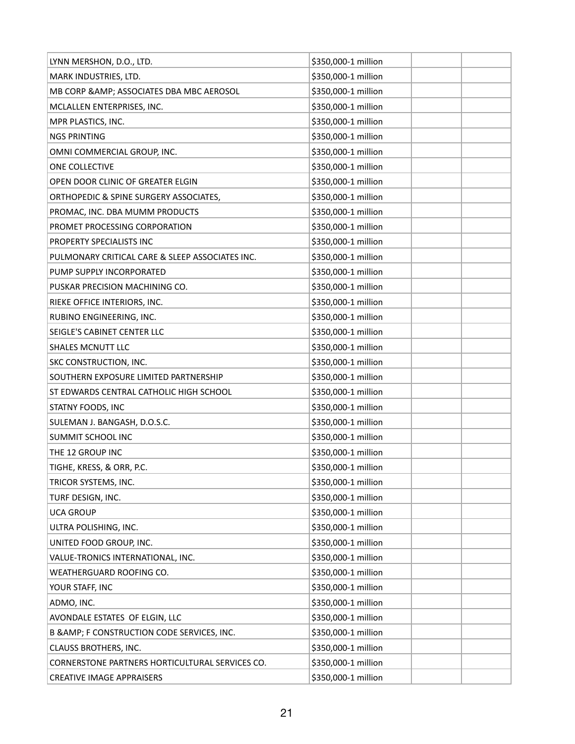| LYNN MERSHON, D.O., LTD.                        | \$350,000-1 million |
|-------------------------------------------------|---------------------|
| MARK INDUSTRIES, LTD.                           | \$350,000-1 million |
| MB CORP & AMP; ASSOCIATES DBA MBC AEROSOL       | \$350,000-1 million |
| MCLALLEN ENTERPRISES, INC.                      | \$350,000-1 million |
| MPR PLASTICS, INC.                              | \$350,000-1 million |
| <b>NGS PRINTING</b>                             | \$350,000-1 million |
| OMNI COMMERCIAL GROUP, INC.                     | \$350,000-1 million |
| ONE COLLECTIVE                                  | \$350,000-1 million |
| OPEN DOOR CLINIC OF GREATER ELGIN               | \$350,000-1 million |
| ORTHOPEDIC & SPINE SURGERY ASSOCIATES,          | \$350,000-1 million |
| PROMAC, INC. DBA MUMM PRODUCTS                  | \$350,000-1 million |
| PROMET PROCESSING CORPORATION                   | \$350,000-1 million |
| PROPERTY SPECIALISTS INC                        | \$350,000-1 million |
| PULMONARY CRITICAL CARE & SLEEP ASSOCIATES INC. | \$350,000-1 million |
| PUMP SUPPLY INCORPORATED                        | \$350,000-1 million |
| PUSKAR PRECISION MACHINING CO.                  | \$350,000-1 million |
| RIEKE OFFICE INTERIORS, INC.                    | \$350,000-1 million |
| RUBINO ENGINEERING, INC.                        | \$350,000-1 million |
| SEIGLE'S CABINET CENTER LLC                     | \$350,000-1 million |
| <b>SHALES MCNUTT LLC</b>                        | \$350,000-1 million |
| SKC CONSTRUCTION, INC.                          | \$350,000-1 million |
| SOUTHERN EXPOSURE LIMITED PARTNERSHIP           | \$350,000-1 million |
| ST EDWARDS CENTRAL CATHOLIC HIGH SCHOOL         | \$350,000-1 million |
| STATNY FOODS, INC                               | \$350,000-1 million |
| SULEMAN J. BANGASH, D.O.S.C.                    | \$350,000-1 million |
| SUMMIT SCHOOL INC                               | \$350,000-1 million |
| THE 12 GROUP INC                                | \$350,000-1 million |
| TIGHE, KRESS, & ORR, P.C.                       | \$350,000-1 million |
| TRICOR SYSTEMS, INC.                            | \$350,000-1 million |
| TURF DESIGN, INC.                               | \$350,000-1 million |
| <b>UCA GROUP</b>                                | \$350,000-1 million |
| ULTRA POLISHING, INC.                           | \$350,000-1 million |
| UNITED FOOD GROUP, INC.                         | \$350,000-1 million |
| VALUE-TRONICS INTERNATIONAL, INC.               | \$350,000-1 million |
| WEATHERGUARD ROOFING CO.                        | \$350,000-1 million |
| YOUR STAFF, INC                                 | \$350,000-1 million |
| ADMO, INC.                                      | \$350,000-1 million |
| AVONDALE ESTATES OF ELGIN, LLC                  | \$350,000-1 million |
| B & AMP; F CONSTRUCTION CODE SERVICES, INC.     | \$350,000-1 million |
| CLAUSS BROTHERS, INC.                           | \$350,000-1 million |
| CORNERSTONE PARTNERS HORTICULTURAL SERVICES CO. | \$350,000-1 million |
| <b>CREATIVE IMAGE APPRAISERS</b>                | \$350,000-1 million |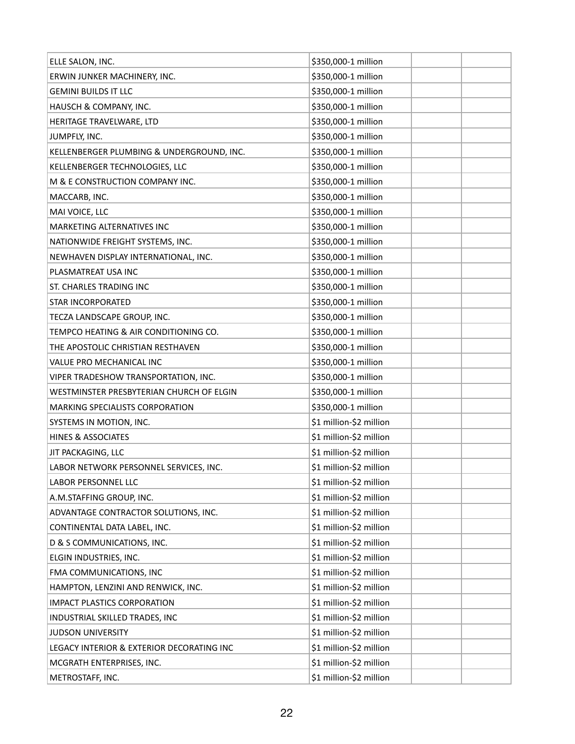| ELLE SALON, INC.                          | \$350,000-1 million     |
|-------------------------------------------|-------------------------|
| ERWIN JUNKER MACHINERY, INC.              | \$350,000-1 million     |
| <b>GEMINI BUILDS IT LLC</b>               | \$350,000-1 million     |
| HAUSCH & COMPANY, INC.                    | \$350,000-1 million     |
| HERITAGE TRAVELWARE, LTD                  | \$350,000-1 million     |
| JUMPFLY, INC.                             | \$350,000-1 million     |
| KELLENBERGER PLUMBING & UNDERGROUND, INC. | \$350,000-1 million     |
| KELLENBERGER TECHNOLOGIES, LLC            | \$350,000-1 million     |
| M & E CONSTRUCTION COMPANY INC.           | \$350,000-1 million     |
| MACCARB, INC.                             | \$350,000-1 million     |
| MAI VOICE, LLC                            | \$350,000-1 million     |
| MARKETING ALTERNATIVES INC                | \$350,000-1 million     |
| NATIONWIDE FREIGHT SYSTEMS, INC.          | \$350,000-1 million     |
| NEWHAVEN DISPLAY INTERNATIONAL, INC.      | \$350,000-1 million     |
| PLASMATREAT USA INC                       | \$350,000-1 million     |
| ST. CHARLES TRADING INC                   | \$350,000-1 million     |
| <b>STAR INCORPORATED</b>                  | \$350,000-1 million     |
| TECZA LANDSCAPE GROUP, INC.               | \$350,000-1 million     |
| TEMPCO HEATING & AIR CONDITIONING CO.     | \$350,000-1 million     |
| THE APOSTOLIC CHRISTIAN RESTHAVEN         | \$350,000-1 million     |
| VALUE PRO MECHANICAL INC                  | \$350,000-1 million     |
| VIPER TRADESHOW TRANSPORTATION, INC.      | \$350,000-1 million     |
| WESTMINSTER PRESBYTERIAN CHURCH OF ELGIN  | \$350,000-1 million     |
| MARKING SPECIALISTS CORPORATION           | \$350,000-1 million     |
| SYSTEMS IN MOTION, INC.                   | \$1 million-\$2 million |
| <b>HINES &amp; ASSOCIATES</b>             | \$1 million-\$2 million |
| JIT PACKAGING, LLC                        | \$1 million-\$2 million |
| LABOR NETWORK PERSONNEL SERVICES, INC.    | \$1 million-\$2 million |
| LABOR PERSONNEL LLC                       | \$1 million-\$2 million |
| A.M.STAFFING GROUP, INC.                  | \$1 million-\$2 million |
| ADVANTAGE CONTRACTOR SOLUTIONS, INC.      | \$1 million-\$2 million |
| CONTINENTAL DATA LABEL, INC.              | \$1 million-\$2 million |
| D & S COMMUNICATIONS, INC.                | \$1 million-\$2 million |
| ELGIN INDUSTRIES, INC.                    | \$1 million-\$2 million |
| FMA COMMUNICATIONS, INC                   | \$1 million-\$2 million |
| HAMPTON, LENZINI AND RENWICK, INC.        | \$1 million-\$2 million |
| <b>IMPACT PLASTICS CORPORATION</b>        | \$1 million-\$2 million |
| INDUSTRIAL SKILLED TRADES, INC            | \$1 million-\$2 million |
| <b>JUDSON UNIVERSITY</b>                  | \$1 million-\$2 million |
| LEGACY INTERIOR & EXTERIOR DECORATING INC | \$1 million-\$2 million |
| MCGRATH ENTERPRISES, INC.                 | \$1 million-\$2 million |
| METROSTAFF, INC.                          | \$1 million-\$2 million |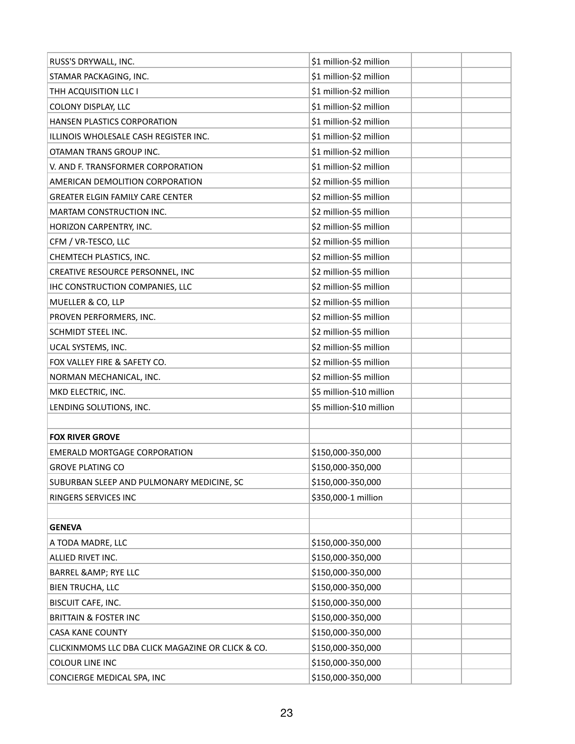| RUSS'S DRYWALL, INC.                              | \$1 million-\$2 million  |
|---------------------------------------------------|--------------------------|
| STAMAR PACKAGING, INC.                            | \$1 million-\$2 million  |
| THH ACQUISITION LLC I                             | \$1 million-\$2 million  |
| COLONY DISPLAY, LLC                               | \$1 million-\$2 million  |
| HANSEN PLASTICS CORPORATION                       | \$1 million-\$2 million  |
| ILLINOIS WHOLESALE CASH REGISTER INC.             | \$1 million-\$2 million  |
| OTAMAN TRANS GROUP INC.                           | \$1 million-\$2 million  |
| V. AND F. TRANSFORMER CORPORATION                 | \$1 million-\$2 million  |
| AMERICAN DEMOLITION CORPORATION                   | \$2 million-\$5 million  |
| <b>GREATER ELGIN FAMILY CARE CENTER</b>           | \$2 million-\$5 million  |
| MARTAM CONSTRUCTION INC.                          | \$2 million-\$5 million  |
| HORIZON CARPENTRY, INC.                           | \$2 million-\$5 million  |
| CFM / VR-TESCO, LLC                               | \$2 million-\$5 million  |
| CHEMTECH PLASTICS, INC.                           | \$2 million-\$5 million  |
| CREATIVE RESOURCE PERSONNEL, INC                  | \$2 million-\$5 million  |
| IHC CONSTRUCTION COMPANIES, LLC                   | \$2 million-\$5 million  |
| MUELLER & CO, LLP                                 | \$2 million-\$5 million  |
| PROVEN PERFORMERS, INC.                           | \$2 million-\$5 million  |
| SCHMIDT STEEL INC.                                | \$2 million-\$5 million  |
| UCAL SYSTEMS, INC.                                | \$2 million-\$5 million  |
| FOX VALLEY FIRE & SAFETY CO.                      | \$2 million-\$5 million  |
| NORMAN MECHANICAL, INC.                           | \$2 million-\$5 million  |
| MKD ELECTRIC, INC.                                | \$5 million-\$10 million |
| LENDING SOLUTIONS, INC.                           | \$5 million-\$10 million |
|                                                   |                          |
| <b>FOX RIVER GROVE</b>                            |                          |
| <b>EMERALD MORTGAGE CORPORATION</b>               | \$150,000-350,000        |
| <b>GROVE PLATING CO</b>                           | \$150,000-350,000        |
| SUBURBAN SLEEP AND PULMONARY MEDICINE, SC         | \$150,000-350,000        |
| RINGERS SERVICES INC                              | \$350,000-1 million      |
|                                                   |                          |
| <b>GENEVA</b>                                     |                          |
| A TODA MADRE, LLC                                 | \$150,000-350,000        |
| ALLIED RIVET INC.                                 | \$150,000-350,000        |
| BARREL & AMP; RYE LLC                             | \$150,000-350,000        |
| BIEN TRUCHA, LLC                                  | \$150,000-350,000        |
| BISCUIT CAFE, INC.                                | \$150,000-350,000        |
| <b>BRITTAIN &amp; FOSTER INC</b>                  | \$150,000-350,000        |
| <b>CASA KANE COUNTY</b>                           | \$150,000-350,000        |
| CLICKINMOMS LLC DBA CLICK MAGAZINE OR CLICK & CO. | \$150,000-350,000        |
| <b>COLOUR LINE INC</b>                            | \$150,000-350,000        |
| CONCIERGE MEDICAL SPA, INC                        | \$150,000-350,000        |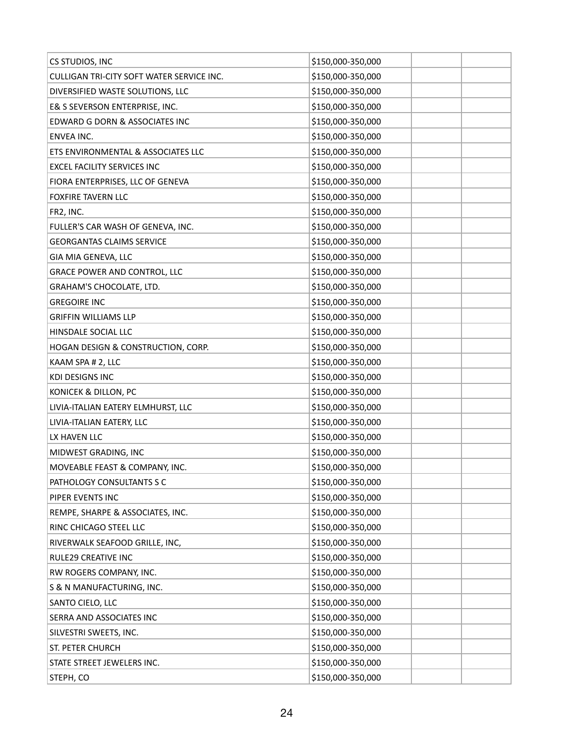| CS STUDIOS, INC                           | \$150,000-350,000 |  |
|-------------------------------------------|-------------------|--|
| CULLIGAN TRI-CITY SOFT WATER SERVICE INC. | \$150,000-350,000 |  |
| DIVERSIFIED WASTE SOLUTIONS, LLC          | \$150,000-350,000 |  |
| E& S SEVERSON ENTERPRISE, INC.            | \$150,000-350,000 |  |
| EDWARD G DORN & ASSOCIATES INC            | \$150,000-350,000 |  |
| ENVEA INC.                                | \$150,000-350,000 |  |
| ETS ENVIRONMENTAL & ASSOCIATES LLC        | \$150,000-350,000 |  |
| <b>EXCEL FACILITY SERVICES INC</b>        | \$150,000-350,000 |  |
| FIORA ENTERPRISES, LLC OF GENEVA          | \$150,000-350,000 |  |
| <b>FOXFIRE TAVERN LLC</b>                 | \$150,000-350,000 |  |
| FR2, INC.                                 | \$150,000-350,000 |  |
| FULLER'S CAR WASH OF GENEVA, INC.         | \$150,000-350,000 |  |
| <b>GEORGANTAS CLAIMS SERVICE</b>          | \$150,000-350,000 |  |
| GIA MIA GENEVA, LLC                       | \$150,000-350,000 |  |
| <b>GRACE POWER AND CONTROL, LLC</b>       | \$150,000-350,000 |  |
| GRAHAM'S CHOCOLATE, LTD.                  | \$150,000-350,000 |  |
| <b>GREGOIRE INC</b>                       | \$150,000-350,000 |  |
| <b>GRIFFIN WILLIAMS LLP</b>               | \$150,000-350,000 |  |
| HINSDALE SOCIAL LLC                       | \$150,000-350,000 |  |
| HOGAN DESIGN & CONSTRUCTION, CORP.        | \$150,000-350,000 |  |
| KAAM SPA # 2, LLC                         | \$150,000-350,000 |  |
| <b>KDI DESIGNS INC</b>                    | \$150,000-350,000 |  |
| KONICEK & DILLON, PC                      | \$150,000-350,000 |  |
| LIVIA-ITALIAN EATERY ELMHURST, LLC        | \$150,000-350,000 |  |
| LIVIA-ITALIAN EATERY, LLC                 | \$150,000-350,000 |  |
| LX HAVEN LLC                              | \$150,000-350,000 |  |
| MIDWEST GRADING, INC                      | \$150,000-350,000 |  |
| MOVEABLE FEAST & COMPANY, INC.            | \$150,000-350,000 |  |
| PATHOLOGY CONSULTANTS S C                 | \$150,000-350,000 |  |
| PIPER EVENTS INC                          | \$150,000-350,000 |  |
| REMPE, SHARPE & ASSOCIATES, INC.          | \$150,000-350,000 |  |
| RINC CHICAGO STEEL LLC                    | \$150,000-350,000 |  |
| RIVERWALK SEAFOOD GRILLE, INC,            | \$150,000-350,000 |  |
| RULE29 CREATIVE INC                       | \$150,000-350,000 |  |
| RW ROGERS COMPANY, INC.                   | \$150,000-350,000 |  |
| S & N MANUFACTURING, INC.                 | \$150,000-350,000 |  |
| SANTO CIELO, LLC                          | \$150,000-350,000 |  |
| SERRA AND ASSOCIATES INC                  | \$150,000-350,000 |  |
| SILVESTRI SWEETS, INC.                    | \$150,000-350,000 |  |
| ST. PETER CHURCH                          | \$150,000-350,000 |  |
| STATE STREET JEWELERS INC.                | \$150,000-350,000 |  |
| STEPH, CO                                 | \$150,000-350,000 |  |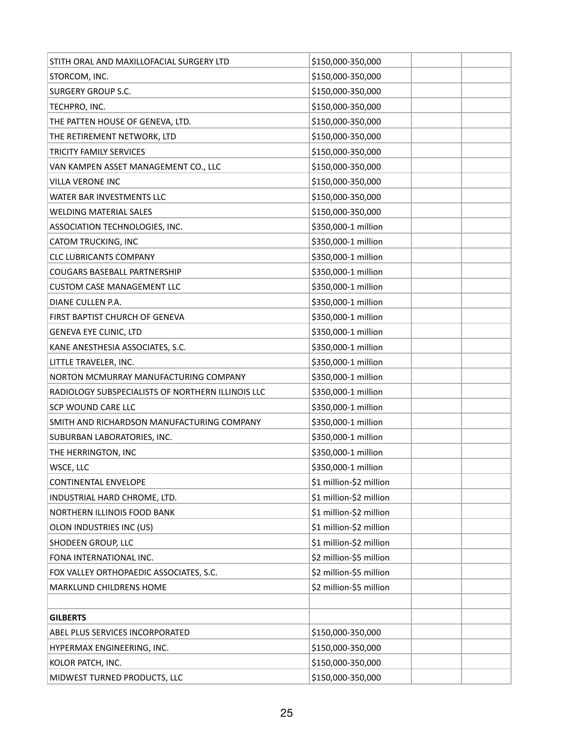| STITH ORAL AND MAXILLOFACIAL SURGERY LTD          | \$150,000-350,000       |
|---------------------------------------------------|-------------------------|
| STORCOM, INC.                                     | \$150,000-350,000       |
| SURGERY GROUP S.C.                                | \$150,000-350,000       |
| TECHPRO, INC.                                     | \$150,000-350,000       |
| THE PATTEN HOUSE OF GENEVA, LTD.                  | \$150,000-350,000       |
| THE RETIREMENT NETWORK, LTD                       | \$150,000-350,000       |
| TRICITY FAMILY SERVICES                           | \$150,000-350,000       |
| VAN KAMPEN ASSET MANAGEMENT CO., LLC              | \$150,000-350,000       |
| VILLA VERONE INC                                  | \$150,000-350,000       |
| WATER BAR INVESTMENTS LLC                         | \$150,000-350,000       |
| <b>WELDING MATERIAL SALES</b>                     | \$150,000-350,000       |
| ASSOCIATION TECHNOLOGIES, INC.                    | \$350,000-1 million     |
| CATOM TRUCKING, INC                               | \$350,000-1 million     |
| <b>CLC LUBRICANTS COMPANY</b>                     | \$350,000-1 million     |
| <b>COUGARS BASEBALL PARTNERSHIP</b>               | \$350,000-1 million     |
| <b>CUSTOM CASE MANAGEMENT LLC</b>                 | \$350,000-1 million     |
| DIANE CULLEN P.A.                                 | \$350,000-1 million     |
| FIRST BAPTIST CHURCH OF GENEVA                    | \$350,000-1 million     |
| <b>GENEVA EYE CLINIC, LTD</b>                     | \$350,000-1 million     |
| KANE ANESTHESIA ASSOCIATES, S.C.                  | \$350,000-1 million     |
| LITTLE TRAVELER, INC.                             | \$350,000-1 million     |
| NORTON MCMURRAY MANUFACTURING COMPANY             | \$350,000-1 million     |
| RADIOLOGY SUBSPECIALISTS OF NORTHERN ILLINOIS LLC | \$350,000-1 million     |
| SCP WOUND CARE LLC                                | \$350,000-1 million     |
| SMITH AND RICHARDSON MANUFACTURING COMPANY        | \$350,000-1 million     |
| SUBURBAN LABORATORIES, INC.                       | \$350,000-1 million     |
| THE HERRINGTON, INC                               | \$350,000-1 million     |
| WSCE, LLC                                         | \$350,000-1 million     |
| <b>CONTINENTAL ENVELOPE</b>                       | \$1 million-\$2 million |
| INDUSTRIAL HARD CHROME, LTD.                      | \$1 million-\$2 million |
| NORTHERN ILLINOIS FOOD BANK                       | \$1 million-\$2 million |
| OLON INDUSTRIES INC (US)                          | \$1 million-\$2 million |
| SHODEEN GROUP, LLC                                | \$1 million-\$2 million |
| FONA INTERNATIONAL INC.                           | \$2 million-\$5 million |
| FOX VALLEY ORTHOPAEDIC ASSOCIATES, S.C.           | \$2 million-\$5 million |
| MARKLUND CHILDRENS HOME                           | \$2 million-\$5 million |
|                                                   |                         |
| <b>GILBERTS</b>                                   |                         |
| ABEL PLUS SERVICES INCORPORATED                   | \$150,000-350,000       |
| HYPERMAX ENGINEERING, INC.                        | \$150,000-350,000       |
| KOLOR PATCH, INC.                                 | \$150,000-350,000       |
| MIDWEST TURNED PRODUCTS, LLC                      | \$150,000-350,000       |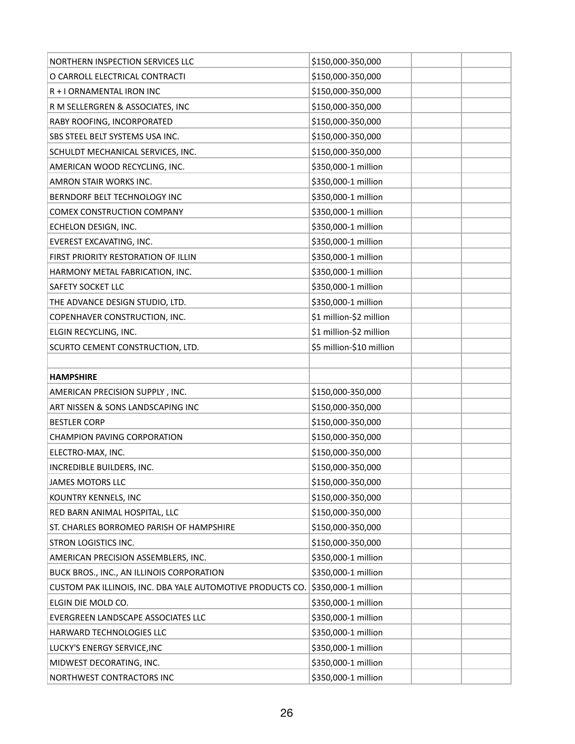| NORTHERN INSPECTION SERVICES LLC                           | \$150,000-350,000        |
|------------------------------------------------------------|--------------------------|
| O CARROLL ELECTRICAL CONTRACTI                             | \$150,000-350,000        |
| R + I ORNAMENTAL IRON INC                                  | \$150,000-350,000        |
| R M SELLERGREN & ASSOCIATES, INC                           | \$150,000-350,000        |
| RABY ROOFING, INCORPORATED                                 | \$150,000-350,000        |
| SBS STEEL BELT SYSTEMS USA INC.                            | \$150,000-350,000        |
| SCHULDT MECHANICAL SERVICES, INC.                          | \$150,000-350,000        |
| AMERICAN WOOD RECYCLING, INC.                              | \$350,000-1 million      |
| AMRON STAIR WORKS INC.                                     | \$350,000-1 million      |
| BERNDORF BELT TECHNOLOGY INC                               | \$350,000-1 million      |
| COMEX CONSTRUCTION COMPANY                                 | \$350,000-1 million      |
| ECHELON DESIGN, INC.                                       | \$350,000-1 million      |
| EVEREST EXCAVATING, INC.                                   | \$350,000-1 million      |
| FIRST PRIORITY RESTORATION OF ILLIN                        | \$350,000-1 million      |
| HARMONY METAL FABRICATION, INC.                            | \$350,000-1 million      |
| SAFETY SOCKET LLC                                          | \$350,000-1 million      |
| THE ADVANCE DESIGN STUDIO, LTD.                            | \$350,000-1 million      |
| COPENHAVER CONSTRUCTION, INC.                              | \$1 million-\$2 million  |
| ELGIN RECYCLING, INC.                                      | \$1 million-\$2 million  |
| SCURTO CEMENT CONSTRUCTION, LTD.                           | \$5 million-\$10 million |
|                                                            |                          |
|                                                            |                          |
| <b>HAMPSHIRE</b>                                           |                          |
| AMERICAN PRECISION SUPPLY, INC.                            | \$150,000-350,000        |
| ART NISSEN & SONS LANDSCAPING INC                          | \$150,000-350,000        |
| <b>BESTLER CORP</b>                                        | \$150,000-350,000        |
| <b>CHAMPION PAVING CORPORATION</b>                         | \$150,000-350,000        |
| ELECTRO-MAX, INC.                                          | \$150,000-350,000        |
| INCREDIBLE BUILDERS, INC.                                  | \$150,000-350,000        |
| <b>JAMES MOTORS LLC</b>                                    | \$150,000-350,000        |
| KOUNTRY KENNELS, INC                                       | \$150,000-350,000        |
| RED BARN ANIMAL HOSPITAL, LLC                              | \$150,000-350,000        |
| ST. CHARLES BORROMEO PARISH OF HAMPSHIRE                   | \$150,000-350,000        |
| STRON LOGISTICS INC.                                       | \$150,000-350,000        |
| AMERICAN PRECISION ASSEMBLERS, INC.                        | \$350,000-1 million      |
| BUCK BROS., INC., AN ILLINOIS CORPORATION                  | \$350,000-1 million      |
| CUSTOM PAK ILLINOIS, INC. DBA YALE AUTOMOTIVE PRODUCTS CO. | \$350,000-1 million      |
| ELGIN DIE MOLD CO.                                         | \$350,000-1 million      |
| EVERGREEN LANDSCAPE ASSOCIATES LLC                         | \$350,000-1 million      |
| HARWARD TECHNOLOGIES LLC                                   | \$350,000-1 million      |
| LUCKY'S ENERGY SERVICE, INC                                | \$350,000-1 million      |
| MIDWEST DECORATING, INC.                                   | \$350,000-1 million      |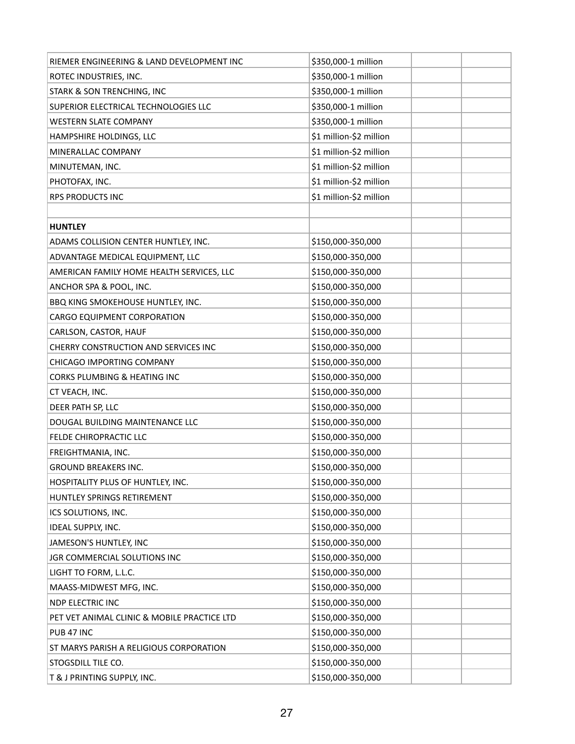| RIEMER ENGINEERING & LAND DEVELOPMENT INC   | \$350,000-1 million     |
|---------------------------------------------|-------------------------|
| ROTEC INDUSTRIES, INC.                      | \$350,000-1 million     |
| STARK & SON TRENCHING, INC                  | \$350,000-1 million     |
| SUPERIOR ELECTRICAL TECHNOLOGIES LLC        | \$350,000-1 million     |
| <b>WESTERN SLATE COMPANY</b>                | \$350,000-1 million     |
| HAMPSHIRE HOLDINGS, LLC                     | \$1 million-\$2 million |
| MINERALLAC COMPANY                          | \$1 million-\$2 million |
| MINUTEMAN, INC.                             | \$1 million-\$2 million |
| PHOTOFAX, INC.                              | \$1 million-\$2 million |
| RPS PRODUCTS INC                            | \$1 million-\$2 million |
|                                             |                         |
| <b>HUNTLEY</b>                              |                         |
| ADAMS COLLISION CENTER HUNTLEY, INC.        | \$150,000-350,000       |
| ADVANTAGE MEDICAL EQUIPMENT, LLC            | \$150,000-350,000       |
| AMERICAN FAMILY HOME HEALTH SERVICES, LLC   | \$150,000-350,000       |
| ANCHOR SPA & POOL, INC.                     | \$150,000-350,000       |
| BBQ KING SMOKEHOUSE HUNTLEY, INC.           | \$150,000-350,000       |
| CARGO EQUIPMENT CORPORATION                 | \$150,000-350,000       |
| CARLSON, CASTOR, HAUF                       | \$150,000-350,000       |
| CHERRY CONSTRUCTION AND SERVICES INC        | \$150,000-350,000       |
| CHICAGO IMPORTING COMPANY                   | \$150,000-350,000       |
| CORKS PLUMBING & HEATING INC                | \$150,000-350,000       |
| CT VEACH, INC.                              | \$150,000-350,000       |
| DEER PATH SP, LLC                           | \$150,000-350,000       |
| DOUGAL BUILDING MAINTENANCE LLC             | \$150,000-350,000       |
| FELDE CHIROPRACTIC LLC                      | \$150,000-350,000       |
| FREIGHTMANIA, INC.                          | \$150,000-350,000       |
| <b>GROUND BREAKERS INC.</b>                 | \$150,000-350,000       |
| HOSPITALITY PLUS OF HUNTLEY, INC.           | \$150,000-350,000       |
| HUNTLEY SPRINGS RETIREMENT                  | \$150,000-350,000       |
| ICS SOLUTIONS, INC.                         | \$150,000-350,000       |
| IDEAL SUPPLY, INC.                          | \$150,000-350,000       |
| JAMESON'S HUNTLEY, INC                      | \$150,000-350,000       |
| JGR COMMERCIAL SOLUTIONS INC                | \$150,000-350,000       |
| LIGHT TO FORM, L.L.C.                       | \$150,000-350,000       |
| MAASS-MIDWEST MFG, INC.                     | \$150,000-350,000       |
| NDP ELECTRIC INC                            | \$150,000-350,000       |
| PET VET ANIMAL CLINIC & MOBILE PRACTICE LTD | \$150,000-350,000       |
| PUB 47 INC                                  | \$150,000-350,000       |
| ST MARYS PARISH A RELIGIOUS CORPORATION     | \$150,000-350,000       |
| STOGSDILL TILE CO.                          | \$150,000-350,000       |
| T & J PRINTING SUPPLY, INC.                 | \$150,000-350,000       |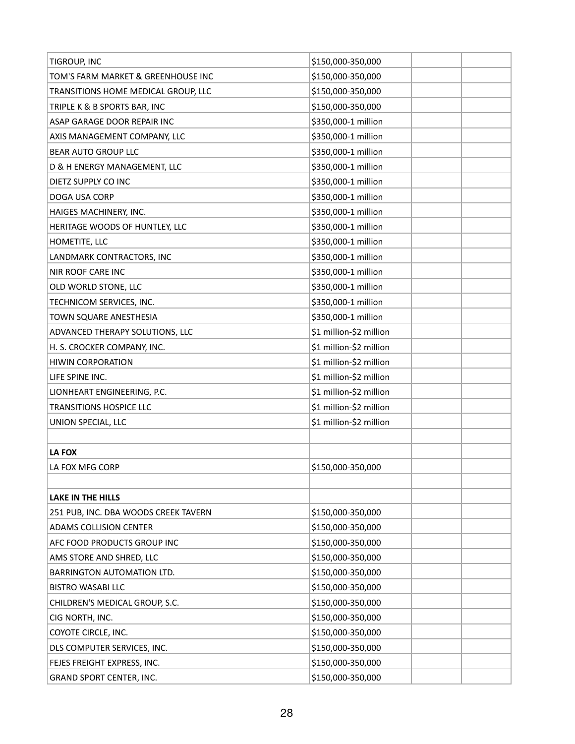| TIGROUP, INC                         | \$150,000-350,000       |
|--------------------------------------|-------------------------|
| TOM'S FARM MARKET & GREENHOUSE INC   | \$150,000-350,000       |
| TRANSITIONS HOME MEDICAL GROUP, LLC  | \$150,000-350,000       |
| TRIPLE K & B SPORTS BAR, INC         | \$150,000-350,000       |
| ASAP GARAGE DOOR REPAIR INC          | \$350,000-1 million     |
| AXIS MANAGEMENT COMPANY, LLC         | \$350,000-1 million     |
| BEAR AUTO GROUP LLC                  | \$350,000-1 million     |
| D & H ENERGY MANAGEMENT, LLC         | \$350,000-1 million     |
| DIETZ SUPPLY CO INC                  | \$350,000-1 million     |
| DOGA USA CORP                        | \$350,000-1 million     |
| HAIGES MACHINERY, INC.               | \$350,000-1 million     |
| HERITAGE WOODS OF HUNTLEY, LLC       | \$350,000-1 million     |
| HOMETITE, LLC                        | \$350,000-1 million     |
| LANDMARK CONTRACTORS, INC            | \$350,000-1 million     |
| <b>NIR ROOF CARE INC</b>             | \$350,000-1 million     |
| OLD WORLD STONE, LLC                 | \$350,000-1 million     |
| TECHNICOM SERVICES, INC.             | \$350,000-1 million     |
| TOWN SQUARE ANESTHESIA               | \$350,000-1 million     |
| ADVANCED THERAPY SOLUTIONS, LLC      | \$1 million-\$2 million |
| H. S. CROCKER COMPANY, INC.          | \$1 million-\$2 million |
| <b>HIWIN CORPORATION</b>             | \$1 million-\$2 million |
| LIFE SPINE INC.                      | \$1 million-\$2 million |
| LIONHEART ENGINEERING, P.C.          | \$1 million-\$2 million |
| <b>TRANSITIONS HOSPICE LLC</b>       | \$1 million-\$2 million |
| UNION SPECIAL, LLC                   | \$1 million-\$2 million |
|                                      |                         |
| <b>LA FOX</b>                        |                         |
| LA FOX MFG CORP                      | \$150,000-350,000       |
|                                      |                         |
| <b>LAKE IN THE HILLS</b>             |                         |
| 251 PUB, INC. DBA WOODS CREEK TAVERN | \$150,000-350,000       |
| ADAMS COLLISION CENTER               | \$150,000-350,000       |
| AFC FOOD PRODUCTS GROUP INC          | \$150,000-350,000       |
| AMS STORE AND SHRED, LLC             | \$150,000-350,000       |
| BARRINGTON AUTOMATION LTD.           | \$150,000-350,000       |
| <b>BISTRO WASABI LLC</b>             | \$150,000-350,000       |
| CHILDREN'S MEDICAL GROUP, S.C.       | \$150,000-350,000       |
| CIG NORTH, INC.                      | \$150,000-350,000       |
| COYOTE CIRCLE, INC.                  | \$150,000-350,000       |
| DLS COMPUTER SERVICES, INC.          | \$150,000-350,000       |
| FEJES FREIGHT EXPRESS, INC.          | \$150,000-350,000       |
| <b>GRAND SPORT CENTER, INC.</b>      | \$150,000-350,000       |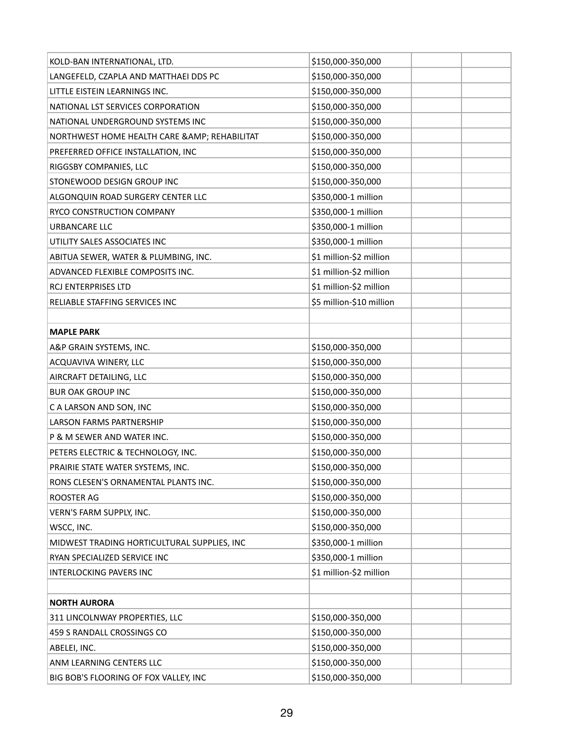| KOLD-BAN INTERNATIONAL, LTD.                  | \$150,000-350,000        |
|-----------------------------------------------|--------------------------|
| LANGEFELD, CZAPLA AND MATTHAEI DDS PC         | \$150,000-350,000        |
| LITTLE EISTEIN LEARNINGS INC.                 | \$150,000-350,000        |
| NATIONAL LST SERVICES CORPORATION             | \$150,000-350,000        |
| NATIONAL UNDERGROUND SYSTEMS INC              | \$150,000-350,000        |
| NORTHWEST HOME HEALTH CARE & AMP; REHABILITAT | \$150,000-350,000        |
| PREFERRED OFFICE INSTALLATION, INC            | \$150,000-350,000        |
| RIGGSBY COMPANIES, LLC                        | \$150,000-350,000        |
| STONEWOOD DESIGN GROUP INC                    | \$150,000-350,000        |
| ALGONQUIN ROAD SURGERY CENTER LLC             | \$350,000-1 million      |
| RYCO CONSTRUCTION COMPANY                     | \$350,000-1 million      |
| <b>URBANCARE LLC</b>                          | \$350,000-1 million      |
| UTILITY SALES ASSOCIATES INC                  | \$350,000-1 million      |
| ABITUA SEWER, WATER & PLUMBING, INC.          | \$1 million-\$2 million  |
| ADVANCED FLEXIBLE COMPOSITS INC.              | \$1 million-\$2 million  |
| RCJ ENTERPRISES LTD                           | \$1 million-\$2 million  |
| RELIABLE STAFFING SERVICES INC                | \$5 million-\$10 million |
|                                               |                          |
| <b>MAPLE PARK</b>                             |                          |
| A&P GRAIN SYSTEMS, INC.                       | \$150,000-350,000        |
| ACQUAVIVA WINERY, LLC                         | \$150,000-350,000        |
| AIRCRAFT DETAILING, LLC                       | \$150,000-350,000        |
| <b>BUR OAK GROUP INC</b>                      | \$150,000-350,000        |
| C A LARSON AND SON, INC                       | \$150,000-350,000        |
| <b>LARSON FARMS PARTNERSHIP</b>               | \$150,000-350,000        |
| P & M SEWER AND WATER INC.                    | \$150,000-350,000        |
| PETERS ELECTRIC & TECHNOLOGY, INC.            | \$150,000-350,000        |
| PRAIRIE STATE WATER SYSTEMS, INC.             | \$150,000-350,000        |
| RONS CLESEN'S ORNAMENTAL PLANTS INC.          | \$150,000-350,000        |
| ROOSTER AG                                    | \$150,000-350,000        |
| VERN'S FARM SUPPLY, INC.                      | \$150,000-350,000        |
| WSCC, INC.                                    | \$150,000-350,000        |
| MIDWEST TRADING HORTICULTURAL SUPPLIES, INC   | \$350,000-1 million      |
| RYAN SPECIALIZED SERVICE INC                  | \$350,000-1 million      |
| <b>INTERLOCKING PAVERS INC</b>                | \$1 million-\$2 million  |
|                                               |                          |
| <b>NORTH AURORA</b>                           |                          |
| 311 LINCOLNWAY PROPERTIES, LLC                | \$150,000-350,000        |
| 459 S RANDALL CROSSINGS CO                    | \$150,000-350,000        |
| ABELEI, INC.                                  | \$150,000-350,000        |
| ANM LEARNING CENTERS LLC                      | \$150,000-350,000        |
| BIG BOB'S FLOORING OF FOX VALLEY, INC         | \$150,000-350,000        |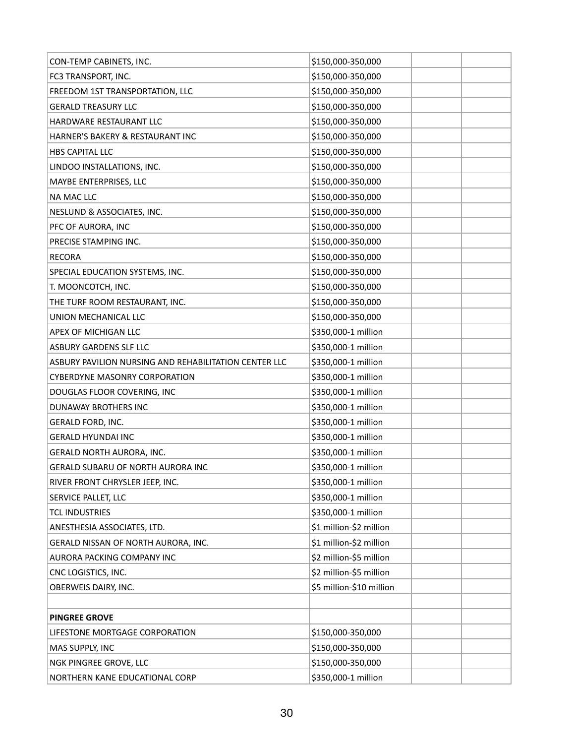| CON-TEMP CABINETS, INC.                               | \$150,000-350,000        |
|-------------------------------------------------------|--------------------------|
| FC3 TRANSPORT, INC.                                   | \$150,000-350,000        |
| FREEDOM 1ST TRANSPORTATION, LLC                       | \$150,000-350,000        |
| <b>GERALD TREASURY LLC</b>                            | \$150,000-350,000        |
| HARDWARE RESTAURANT LLC                               | \$150,000-350,000        |
| HARNER'S BAKERY & RESTAURANT INC                      | \$150,000-350,000        |
| <b>HBS CAPITAL LLC</b>                                | \$150,000-350,000        |
| LINDOO INSTALLATIONS, INC.                            | \$150,000-350,000        |
| MAYBE ENTERPRISES, LLC                                | \$150,000-350,000        |
| NA MAC LLC                                            | \$150,000-350,000        |
| NESLUND & ASSOCIATES, INC.                            | \$150,000-350,000        |
| PFC OF AURORA, INC                                    | \$150,000-350,000        |
| PRECISE STAMPING INC.                                 | \$150,000-350,000        |
| <b>RECORA</b>                                         | \$150,000-350,000        |
| SPECIAL EDUCATION SYSTEMS, INC.                       | \$150,000-350,000        |
| T. MOONCOTCH, INC.                                    | \$150,000-350,000        |
| THE TURF ROOM RESTAURANT, INC.                        | \$150,000-350,000        |
| UNION MECHANICAL LLC                                  | \$150,000-350,000        |
| APEX OF MICHIGAN LLC                                  | \$350,000-1 million      |
| <b>ASBURY GARDENS SLF LLC</b>                         | \$350,000-1 million      |
| ASBURY PAVILION NURSING AND REHABILITATION CENTER LLC | \$350,000-1 million      |
| CYBERDYNE MASONRY CORPORATION                         | \$350,000-1 million      |
| DOUGLAS FLOOR COVERING, INC                           | \$350,000-1 million      |
| DUNAWAY BROTHERS INC                                  | \$350,000-1 million      |
| GERALD FORD, INC.                                     | \$350,000-1 million      |
| <b>GERALD HYUNDAI INC</b>                             | \$350,000-1 million      |
| GERALD NORTH AURORA, INC.                             | \$350,000-1 million      |
| GERALD SUBARU OF NORTH AURORA INC                     | \$350,000-1 million      |
| RIVER FRONT CHRYSLER JEEP, INC.                       | \$350,000-1 million      |
| SERVICE PALLET, LLC                                   | \$350,000-1 million      |
| <b>TCL INDUSTRIES</b>                                 | \$350,000-1 million      |
| ANESTHESIA ASSOCIATES, LTD.                           | \$1 million-\$2 million  |
| GERALD NISSAN OF NORTH AURORA, INC.                   | \$1 million-\$2 million  |
| AURORA PACKING COMPANY INC                            | \$2 million-\$5 million  |
| CNC LOGISTICS, INC.                                   | \$2 million-\$5 million  |
| OBERWEIS DAIRY, INC.                                  | \$5 million-\$10 million |
|                                                       |                          |
| <b>PINGREE GROVE</b>                                  |                          |
| LIFESTONE MORTGAGE CORPORATION                        | \$150,000-350,000        |
| MAS SUPPLY, INC                                       | \$150,000-350,000        |
| NGK PINGREE GROVE, LLC                                | \$150,000-350,000        |
| NORTHERN KANE EDUCATIONAL CORP                        | \$350,000-1 million      |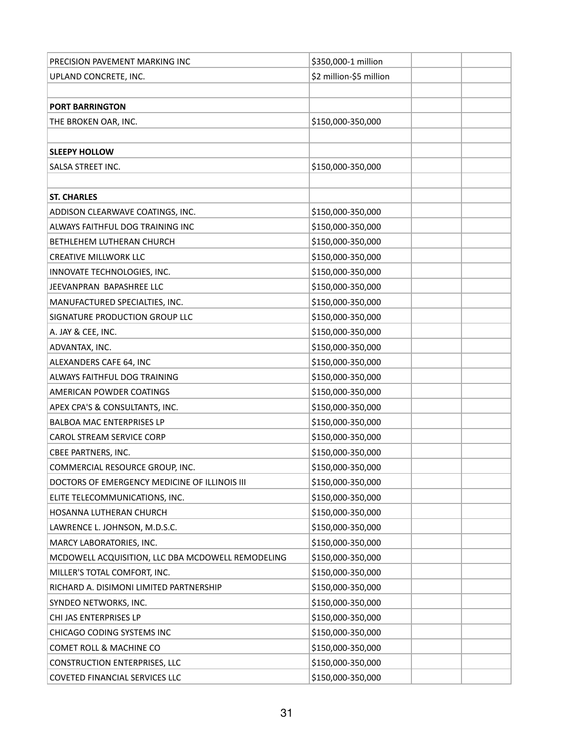| PRECISION PAVEMENT MARKING INC                    | \$350,000-1 million     |  |
|---------------------------------------------------|-------------------------|--|
| UPLAND CONCRETE, INC.                             | \$2 million-\$5 million |  |
|                                                   |                         |  |
| <b>PORT BARRINGTON</b>                            |                         |  |
| THE BROKEN OAR, INC.                              | \$150,000-350,000       |  |
|                                                   |                         |  |
| <b>SLEEPY HOLLOW</b>                              |                         |  |
| SALSA STREET INC.                                 | \$150,000-350,000       |  |
|                                                   |                         |  |
| <b>ST. CHARLES</b>                                |                         |  |
| ADDISON CLEARWAVE COATINGS, INC.                  | \$150,000-350,000       |  |
| ALWAYS FAITHFUL DOG TRAINING INC                  | \$150,000-350,000       |  |
| BETHLEHEM LUTHERAN CHURCH                         | \$150,000-350,000       |  |
| <b>CREATIVE MILLWORK LLC</b>                      | \$150,000-350,000       |  |
| INNOVATE TECHNOLOGIES, INC.                       | \$150,000-350,000       |  |
| JEEVANPRAN BAPASHREE LLC                          | \$150,000-350,000       |  |
| MANUFACTURED SPECIALTIES, INC.                    | \$150,000-350,000       |  |
| SIGNATURE PRODUCTION GROUP LLC                    | \$150,000-350,000       |  |
| A. JAY & CEE, INC.                                | \$150,000-350,000       |  |
| ADVANTAX, INC.                                    | \$150,000-350,000       |  |
| ALEXANDERS CAFE 64, INC                           | \$150,000-350,000       |  |
| ALWAYS FAITHFUL DOG TRAINING                      | \$150,000-350,000       |  |
| AMERICAN POWDER COATINGS                          | \$150,000-350,000       |  |
| APEX CPA'S & CONSULTANTS, INC.                    | \$150,000-350,000       |  |
| <b>BALBOA MAC ENTERPRISES LP</b>                  | \$150,000-350,000       |  |
| <b>CAROL STREAM SERVICE CORP</b>                  | \$150,000-350,000       |  |
| CBEE PARTNERS, INC.                               | \$150,000-350,000       |  |
| COMMERCIAL RESOURCE GROUP, INC.                   | \$150,000-350,000       |  |
| DOCTORS OF EMERGENCY MEDICINE OF ILLINOIS III     | \$150,000-350,000       |  |
| ELITE TELECOMMUNICATIONS, INC.                    | \$150,000-350,000       |  |
| HOSANNA LUTHERAN CHURCH                           | \$150,000-350,000       |  |
| LAWRENCE L. JOHNSON, M.D.S.C.                     | \$150,000-350,000       |  |
| MARCY LABORATORIES, INC.                          | \$150,000-350,000       |  |
| MCDOWELL ACQUISITION, LLC DBA MCDOWELL REMODELING | \$150,000-350,000       |  |
| MILLER'S TOTAL COMFORT, INC.                      | \$150,000-350,000       |  |
| RICHARD A. DISIMONI LIMITED PARTNERSHIP           | \$150,000-350,000       |  |
| SYNDEO NETWORKS, INC.                             | \$150,000-350,000       |  |
| CHI JAS ENTERPRISES LP                            | \$150,000-350,000       |  |
| CHICAGO CODING SYSTEMS INC                        | \$150,000-350,000       |  |
| COMET ROLL & MACHINE CO                           | \$150,000-350,000       |  |
| <b>CONSTRUCTION ENTERPRISES, LLC</b>              | \$150,000-350,000       |  |
| COVETED FINANCIAL SERVICES LLC                    | \$150,000-350,000       |  |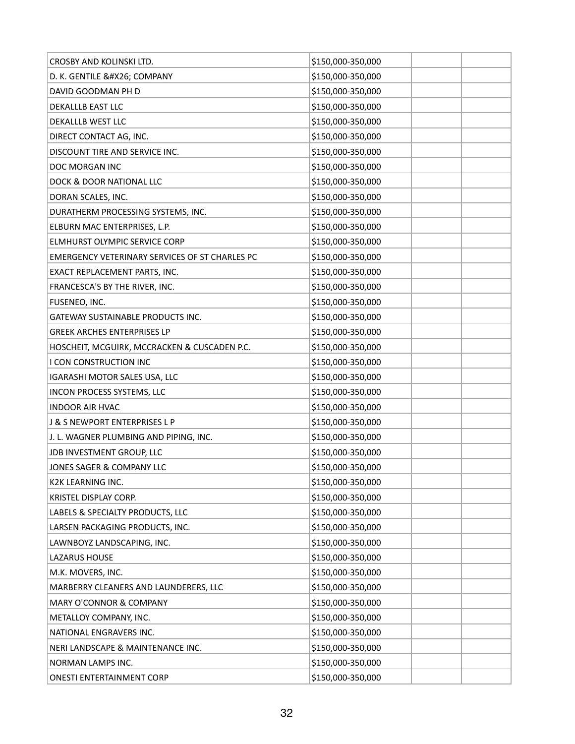| CROSBY AND KOLINSKI LTD.                       | \$150,000-350,000 |  |
|------------------------------------------------|-------------------|--|
| D. K. GENTILE & COMPANY                        | \$150,000-350,000 |  |
| DAVID GOODMAN PH D                             | \$150,000-350,000 |  |
| DEKALLLB EAST LLC                              | \$150,000-350,000 |  |
| DEKALLLB WEST LLC                              | \$150,000-350,000 |  |
| DIRECT CONTACT AG, INC.                        | \$150,000-350,000 |  |
| DISCOUNT TIRE AND SERVICE INC.                 | \$150,000-350,000 |  |
| DOC MORGAN INC                                 | \$150,000-350,000 |  |
| DOCK & DOOR NATIONAL LLC                       | \$150,000-350,000 |  |
| DORAN SCALES, INC.                             | \$150,000-350,000 |  |
| DURATHERM PROCESSING SYSTEMS, INC.             | \$150,000-350,000 |  |
| ELBURN MAC ENTERPRISES, L.P.                   | \$150,000-350,000 |  |
| ELMHURST OLYMPIC SERVICE CORP                  | \$150,000-350,000 |  |
| EMERGENCY VETERINARY SERVICES OF ST CHARLES PC | \$150,000-350,000 |  |
| EXACT REPLACEMENT PARTS, INC.                  | \$150,000-350,000 |  |
| FRANCESCA'S BY THE RIVER, INC.                 | \$150,000-350,000 |  |
| FUSENEO, INC.                                  | \$150,000-350,000 |  |
| GATEWAY SUSTAINABLE PRODUCTS INC.              | \$150,000-350,000 |  |
| <b>GREEK ARCHES ENTERPRISES LP</b>             | \$150,000-350,000 |  |
| HOSCHEIT, MCGUIRK, MCCRACKEN & CUSCADEN P.C.   | \$150,000-350,000 |  |
| I CON CONSTRUCTION INC                         | \$150,000-350,000 |  |
| IGARASHI MOTOR SALES USA, LLC                  | \$150,000-350,000 |  |
| INCON PROCESS SYSTEMS, LLC                     | \$150,000-350,000 |  |
| <b>INDOOR AIR HVAC</b>                         | \$150,000-350,000 |  |
| J & S NEWPORT ENTERPRISES L P                  | \$150,000-350,000 |  |
| J. L. WAGNER PLUMBING AND PIPING, INC.         | \$150,000-350,000 |  |
| JDB INVESTMENT GROUP, LLC                      | \$150,000-350,000 |  |
| JONES SAGER & COMPANY LLC                      | \$150,000-350,000 |  |
| <b>K2K LEARNING INC.</b>                       | \$150,000-350,000 |  |
| KRISTEL DISPLAY CORP.                          | \$150,000-350,000 |  |
| LABELS & SPECIALTY PRODUCTS, LLC               | \$150,000-350,000 |  |
| LARSEN PACKAGING PRODUCTS, INC.                | \$150,000-350,000 |  |
| LAWNBOYZ LANDSCAPING, INC.                     | \$150,000-350,000 |  |
| LAZARUS HOUSE                                  | \$150,000-350,000 |  |
| M.K. MOVERS, INC.                              | \$150,000-350,000 |  |
| MARBERRY CLEANERS AND LAUNDERERS, LLC          | \$150,000-350,000 |  |
| MARY O'CONNOR & COMPANY                        | \$150,000-350,000 |  |
| METALLOY COMPANY, INC.                         | \$150,000-350,000 |  |
| NATIONAL ENGRAVERS INC.                        | \$150,000-350,000 |  |
| NERI LANDSCAPE & MAINTENANCE INC.              | \$150,000-350,000 |  |
| NORMAN LAMPS INC.                              | \$150,000-350,000 |  |
| ONESTI ENTERTAINMENT CORP                      | \$150,000-350,000 |  |
|                                                |                   |  |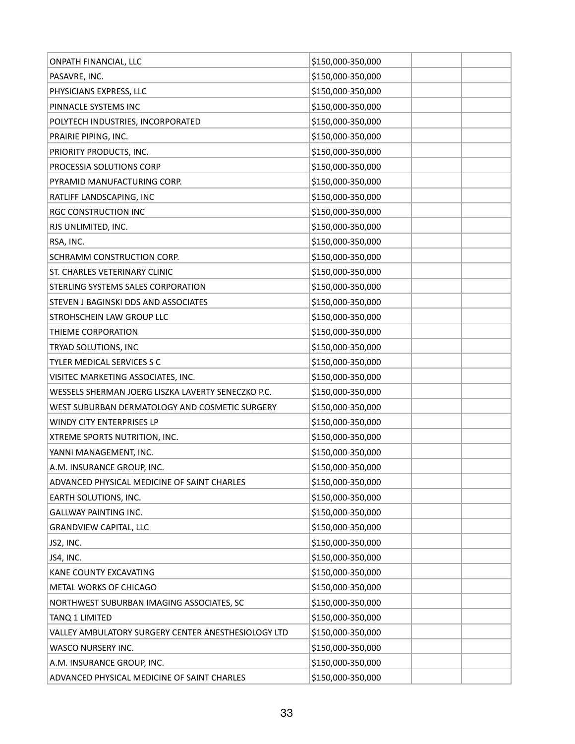| ONPATH FINANCIAL, LLC                               | \$150,000-350,000 |
|-----------------------------------------------------|-------------------|
| PASAVRE, INC.                                       | \$150,000-350,000 |
| PHYSICIANS EXPRESS, LLC                             | \$150,000-350,000 |
| PINNACLE SYSTEMS INC                                | \$150,000-350,000 |
| POLYTECH INDUSTRIES, INCORPORATED                   | \$150,000-350,000 |
| PRAIRIE PIPING, INC.                                | \$150,000-350,000 |
| PRIORITY PRODUCTS, INC.                             | \$150,000-350,000 |
| PROCESSIA SOLUTIONS CORP                            | \$150,000-350,000 |
| PYRAMID MANUFACTURING CORP.                         | \$150,000-350,000 |
| RATLIFF LANDSCAPING, INC                            | \$150,000-350,000 |
| RGC CONSTRUCTION INC                                | \$150,000-350,000 |
| RJS UNLIMITED, INC.                                 | \$150,000-350,000 |
| RSA, INC.                                           | \$150,000-350,000 |
| SCHRAMM CONSTRUCTION CORP.                          | \$150,000-350,000 |
| ST. CHARLES VETERINARY CLINIC                       | \$150,000-350,000 |
| STERLING SYSTEMS SALES CORPORATION                  | \$150,000-350,000 |
| STEVEN J BAGINSKI DDS AND ASSOCIATES                | \$150,000-350,000 |
| STROHSCHEIN LAW GROUP LLC                           | \$150,000-350,000 |
| THIEME CORPORATION                                  | \$150,000-350,000 |
| TRYAD SOLUTIONS, INC                                | \$150,000-350,000 |
| TYLER MEDICAL SERVICES S C                          | \$150,000-350,000 |
| VISITEC MARKETING ASSOCIATES, INC.                  | \$150,000-350,000 |
| WESSELS SHERMAN JOERG LISZKA LAVERTY SENECZKO P.C.  | \$150,000-350,000 |
| WEST SUBURBAN DERMATOLOGY AND COSMETIC SURGERY      | \$150,000-350,000 |
| WINDY CITY ENTERPRISES LP                           | \$150,000-350,000 |
| XTREME SPORTS NUTRITION, INC.                       | \$150,000-350,000 |
| YANNI MANAGEMENT, INC.                              | \$150,000-350,000 |
| A.M. INSURANCE GROUP, INC.                          | \$150,000-350,000 |
| ADVANCED PHYSICAL MEDICINE OF SAINT CHARLES         | \$150,000-350,000 |
| EARTH SOLUTIONS, INC.                               | \$150,000-350,000 |
| <b>GALLWAY PAINTING INC.</b>                        | \$150,000-350,000 |
| <b>GRANDVIEW CAPITAL, LLC</b>                       | \$150,000-350,000 |
| JS2, INC.                                           | \$150,000-350,000 |
| JS4, INC.                                           | \$150,000-350,000 |
| KANE COUNTY EXCAVATING                              | \$150,000-350,000 |
| METAL WORKS OF CHICAGO                              | \$150,000-350,000 |
| NORTHWEST SUBURBAN IMAGING ASSOCIATES, SC           | \$150,000-350,000 |
| TANQ 1 LIMITED                                      | \$150,000-350,000 |
| VALLEY AMBULATORY SURGERY CENTER ANESTHESIOLOGY LTD | \$150,000-350,000 |
| WASCO NURSERY INC.                                  | \$150,000-350,000 |
| A.M. INSURANCE GROUP, INC.                          | \$150,000-350,000 |
| ADVANCED PHYSICAL MEDICINE OF SAINT CHARLES         | \$150,000-350,000 |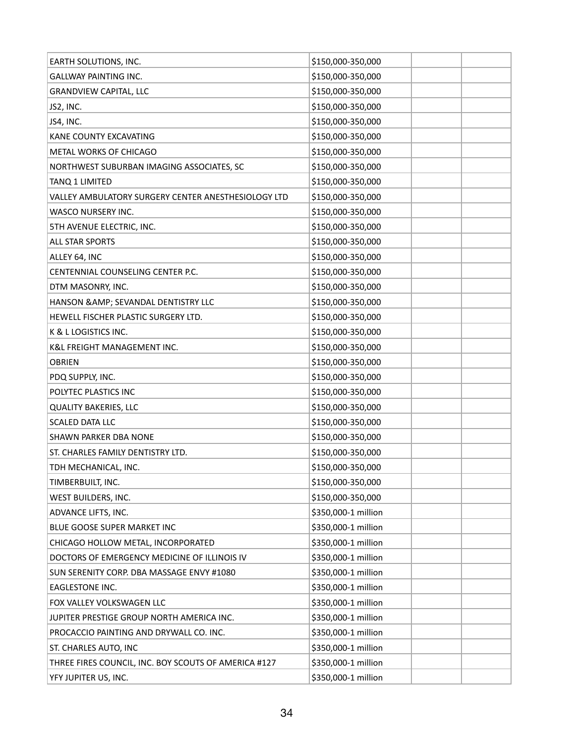| EARTH SOLUTIONS, INC.                                | \$150,000-350,000   |
|------------------------------------------------------|---------------------|
| <b>GALLWAY PAINTING INC.</b>                         | \$150,000-350,000   |
| <b>GRANDVIEW CAPITAL, LLC</b>                        | \$150,000-350,000   |
| JS2, INC.                                            | \$150,000-350,000   |
| JS4, INC.                                            | \$150,000-350,000   |
| KANE COUNTY EXCAVATING                               | \$150,000-350,000   |
| METAL WORKS OF CHICAGO                               | \$150,000-350,000   |
| NORTHWEST SUBURBAN IMAGING ASSOCIATES, SC            | \$150,000-350,000   |
| TANQ 1 LIMITED                                       | \$150,000-350,000   |
| VALLEY AMBULATORY SURGERY CENTER ANESTHESIOLOGY LTD  | \$150,000-350,000   |
| WASCO NURSERY INC.                                   | \$150,000-350,000   |
| 5TH AVENUE ELECTRIC, INC.                            | \$150,000-350,000   |
| <b>ALL STAR SPORTS</b>                               | \$150,000-350,000   |
| ALLEY 64, INC                                        | \$150,000-350,000   |
| CENTENNIAL COUNSELING CENTER P.C.                    | \$150,000-350,000   |
| DTM MASONRY, INC.                                    | \$150,000-350,000   |
| HANSON & AMP; SEVANDAL DENTISTRY LLC                 | \$150,000-350,000   |
| HEWELL FISCHER PLASTIC SURGERY LTD.                  | \$150,000-350,000   |
| K & L LOGISTICS INC.                                 | \$150,000-350,000   |
| K&L FREIGHT MANAGEMENT INC.                          | \$150,000-350,000   |
| <b>OBRIEN</b>                                        | \$150,000-350,000   |
| PDQ SUPPLY, INC.                                     | \$150,000-350,000   |
| POLYTEC PLASTICS INC                                 | \$150,000-350,000   |
| <b>QUALITY BAKERIES, LLC</b>                         | \$150,000-350,000   |
| <b>SCALED DATA LLC</b>                               | \$150,000-350,000   |
| SHAWN PARKER DBA NONE                                | \$150,000-350,000   |
| ST. CHARLES FAMILY DENTISTRY LTD.                    | \$150,000-350,000   |
| TDH MECHANICAL, INC.                                 | \$150,000-350,000   |
| TIMBERBUILT, INC.                                    | \$150,000-350,000   |
| WEST BUILDERS, INC.                                  | \$150,000-350,000   |
| ADVANCE LIFTS, INC.                                  | \$350,000-1 million |
| BLUE GOOSE SUPER MARKET INC                          | \$350,000-1 million |
| CHICAGO HOLLOW METAL, INCORPORATED                   | \$350,000-1 million |
| DOCTORS OF EMERGENCY MEDICINE OF ILLINOIS IV         | \$350,000-1 million |
| SUN SERENITY CORP. DBA MASSAGE ENVY #1080            | \$350,000-1 million |
| <b>EAGLESTONE INC.</b>                               | \$350,000-1 million |
| FOX VALLEY VOLKSWAGEN LLC                            | \$350,000-1 million |
| JUPITER PRESTIGE GROUP NORTH AMERICA INC.            | \$350,000-1 million |
| PROCACCIO PAINTING AND DRYWALL CO. INC.              | \$350,000-1 million |
| ST. CHARLES AUTO, INC                                | \$350,000-1 million |
| THREE FIRES COUNCIL, INC. BOY SCOUTS OF AMERICA #127 | \$350,000-1 million |
| YFY JUPITER US, INC.                                 | \$350,000-1 million |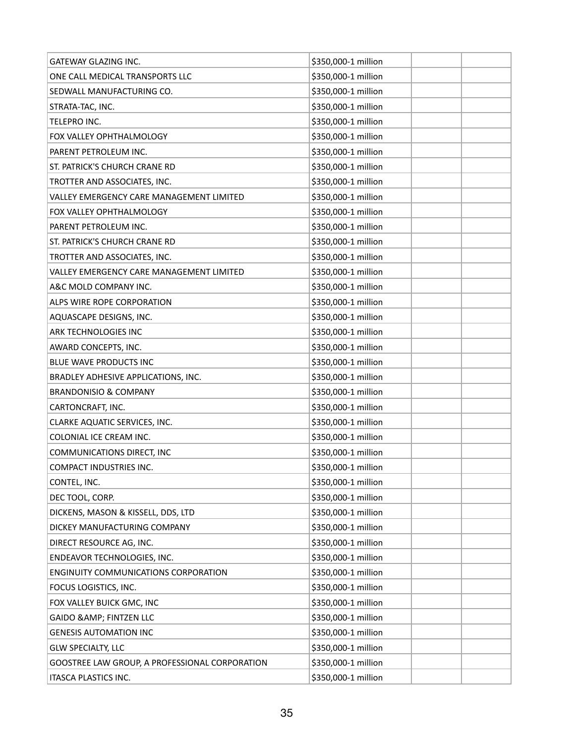| GATEWAY GLAZING INC.                           | \$350,000-1 million |
|------------------------------------------------|---------------------|
| ONE CALL MEDICAL TRANSPORTS LLC                | \$350,000-1 million |
| SEDWALL MANUFACTURING CO.                      | \$350,000-1 million |
| STRATA-TAC, INC.                               | \$350,000-1 million |
| TELEPRO INC.                                   | \$350,000-1 million |
| FOX VALLEY OPHTHALMOLOGY                       | \$350,000-1 million |
| PARENT PETROLEUM INC.                          | \$350,000-1 million |
| ST. PATRICK'S CHURCH CRANE RD                  | \$350,000-1 million |
| TROTTER AND ASSOCIATES, INC.                   | \$350,000-1 million |
| VALLEY EMERGENCY CARE MANAGEMENT LIMITED       | \$350,000-1 million |
| FOX VALLEY OPHTHALMOLOGY                       | \$350,000-1 million |
| PARENT PETROLEUM INC.                          | \$350,000-1 million |
| ST. PATRICK'S CHURCH CRANE RD                  | \$350,000-1 million |
| TROTTER AND ASSOCIATES, INC.                   | \$350,000-1 million |
| VALLEY EMERGENCY CARE MANAGEMENT LIMITED       | \$350,000-1 million |
| A&C MOLD COMPANY INC.                          | \$350,000-1 million |
| ALPS WIRE ROPE CORPORATION                     | \$350,000-1 million |
| AQUASCAPE DESIGNS, INC.                        | \$350,000-1 million |
| <b>ARK TECHNOLOGIES INC</b>                    | \$350,000-1 million |
| AWARD CONCEPTS, INC.                           | \$350,000-1 million |
| BLUE WAVE PRODUCTS INC                         | \$350,000-1 million |
| BRADLEY ADHESIVE APPLICATIONS, INC.            | \$350,000-1 million |
| <b>BRANDONISIO &amp; COMPANY</b>               | \$350,000-1 million |
| CARTONCRAFT, INC.                              | \$350,000-1 million |
| CLARKE AQUATIC SERVICES, INC.                  | \$350,000-1 million |
| COLONIAL ICE CREAM INC.                        | \$350,000-1 million |
| COMMUNICATIONS DIRECT, INC                     | \$350,000-1 million |
| COMPACT INDUSTRIES INC.                        | \$350,000-1 million |
| CONTEL, INC.                                   | \$350,000-1 million |
| DEC TOOL, CORP.                                | \$350,000-1 million |
| DICKENS, MASON & KISSELL, DDS, LTD             | \$350,000-1 million |
| DICKEY MANUFACTURING COMPANY                   | \$350,000-1 million |
| DIRECT RESOURCE AG, INC.                       | \$350,000-1 million |
| ENDEAVOR TECHNOLOGIES, INC.                    | \$350,000-1 million |
| <b>ENGINUITY COMMUNICATIONS CORPORATION</b>    | \$350,000-1 million |
| FOCUS LOGISTICS, INC.                          | \$350,000-1 million |
| FOX VALLEY BUICK GMC, INC                      | \$350,000-1 million |
| GAIDO & AMP; FINTZEN LLC                       | \$350,000-1 million |
| <b>GENESIS AUTOMATION INC</b>                  | \$350,000-1 million |
| <b>GLW SPECIALTY, LLC</b>                      | \$350,000-1 million |
| GOOSTREE LAW GROUP, A PROFESSIONAL CORPORATION | \$350,000-1 million |
| ITASCA PLASTICS INC.                           | \$350,000-1 million |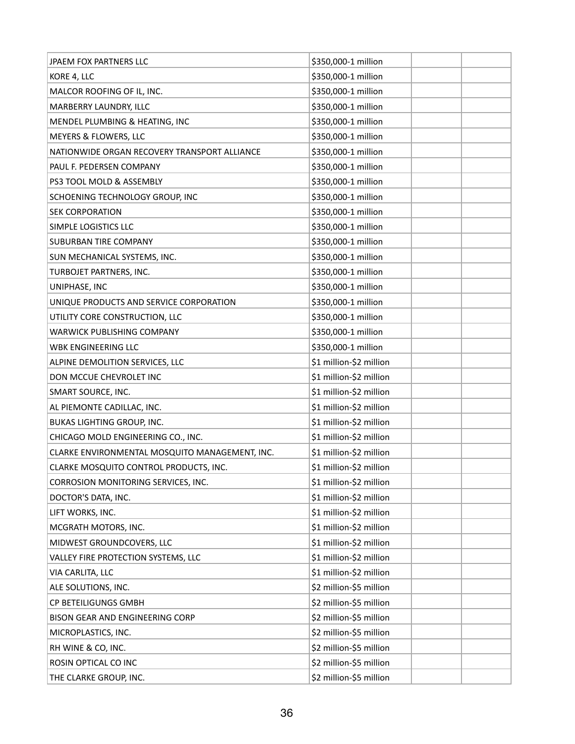| JPAEM FOX PARTNERS LLC                         | \$350,000-1 million     |
|------------------------------------------------|-------------------------|
| KORE 4, LLC                                    | \$350,000-1 million     |
| MALCOR ROOFING OF IL, INC.                     | \$350,000-1 million     |
| MARBERRY LAUNDRY, ILLC                         | \$350,000-1 million     |
| MENDEL PLUMBING & HEATING, INC                 | \$350,000-1 million     |
| MEYERS & FLOWERS, LLC                          | \$350,000-1 million     |
| NATIONWIDE ORGAN RECOVERY TRANSPORT ALLIANCE   | \$350,000-1 million     |
| PAUL F. PEDERSEN COMPANY                       | \$350,000-1 million     |
| PS3 TOOL MOLD & ASSEMBLY                       | \$350,000-1 million     |
| SCHOENING TECHNOLOGY GROUP, INC                | \$350,000-1 million     |
| <b>SEK CORPORATION</b>                         | \$350,000-1 million     |
| SIMPLE LOGISTICS LLC                           | \$350,000-1 million     |
| SUBURBAN TIRE COMPANY                          | \$350,000-1 million     |
| SUN MECHANICAL SYSTEMS, INC.                   | \$350,000-1 million     |
| TURBOJET PARTNERS, INC.                        | \$350,000-1 million     |
| UNIPHASE, INC                                  | \$350,000-1 million     |
| UNIQUE PRODUCTS AND SERVICE CORPORATION        | \$350,000-1 million     |
| UTILITY CORE CONSTRUCTION, LLC                 | \$350,000-1 million     |
| WARWICK PUBLISHING COMPANY                     | \$350,000-1 million     |
| WBK ENGINEERING LLC                            | \$350,000-1 million     |
| ALPINE DEMOLITION SERVICES, LLC                | \$1 million-\$2 million |
| DON MCCUE CHEVROLET INC                        | \$1 million-\$2 million |
| SMART SOURCE, INC.                             | \$1 million-\$2 million |
| AL PIEMONTE CADILLAC, INC.                     | \$1 million-\$2 million |
| BUKAS LIGHTING GROUP, INC.                     | \$1 million-\$2 million |
| CHICAGO MOLD ENGINEERING CO., INC.             | \$1 million-\$2 million |
| CLARKE ENVIRONMENTAL MOSQUITO MANAGEMENT, INC. | \$1 million-\$2 million |
| CLARKE MOSQUITO CONTROL PRODUCTS, INC.         | \$1 million-\$2 million |
| CORROSION MONITORING SERVICES, INC.            | \$1 million-\$2 million |
| DOCTOR'S DATA, INC.                            | \$1 million-\$2 million |
| LIFT WORKS, INC.                               | \$1 million-\$2 million |
| MCGRATH MOTORS, INC.                           | \$1 million-\$2 million |
| MIDWEST GROUNDCOVERS, LLC                      | \$1 million-\$2 million |
| VALLEY FIRE PROTECTION SYSTEMS, LLC            | \$1 million-\$2 million |
| VIA CARLITA, LLC                               | \$1 million-\$2 million |
| ALE SOLUTIONS, INC.                            | \$2 million-\$5 million |
| CP BETEILIGUNGS GMBH                           | \$2 million-\$5 million |
| BISON GEAR AND ENGINEERING CORP                | \$2 million-\$5 million |
| MICROPLASTICS, INC.                            | \$2 million-\$5 million |
| RH WINE & CO, INC.                             | \$2 million-\$5 million |
| ROSIN OPTICAL CO INC                           | \$2 million-\$5 million |
| THE CLARKE GROUP, INC.                         | \$2 million-\$5 million |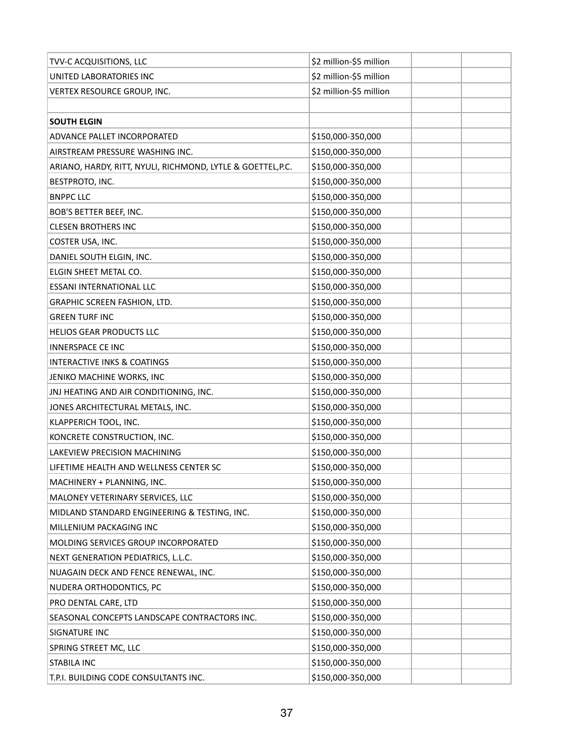| TVV-C ACQUISITIONS, LLC                                     | \$2 million-\$5 million |  |
|-------------------------------------------------------------|-------------------------|--|
| <b>UNITED LABORATORIES INC</b>                              | \$2 million-\$5 million |  |
| VERTEX RESOURCE GROUP, INC.                                 | \$2 million-\$5 million |  |
|                                                             |                         |  |
| <b>SOUTH ELGIN</b>                                          |                         |  |
| ADVANCE PALLET INCORPORATED                                 | \$150,000-350,000       |  |
| AIRSTREAM PRESSURE WASHING INC.                             | \$150,000-350,000       |  |
| ARIANO, HARDY, RITT, NYULI, RICHMOND, LYTLE & GOETTEL, P.C. | \$150,000-350,000       |  |
| BESTPROTO, INC.                                             | \$150,000-350,000       |  |
| <b>BNPPC LLC</b>                                            | \$150,000-350,000       |  |
| <b>BOB'S BETTER BEEF, INC.</b>                              | \$150,000-350,000       |  |
| <b>CLESEN BROTHERS INC</b>                                  | \$150,000-350,000       |  |
| COSTER USA, INC.                                            | \$150,000-350,000       |  |
| DANIEL SOUTH ELGIN, INC.                                    | \$150,000-350,000       |  |
| ELGIN SHEET METAL CO.                                       | \$150,000-350,000       |  |
| <b>ESSANI INTERNATIONAL LLC</b>                             | \$150,000-350,000       |  |
| GRAPHIC SCREEN FASHION, LTD.                                | \$150,000-350,000       |  |
| <b>GREEN TURF INC</b>                                       | \$150,000-350,000       |  |
| <b>HELIOS GEAR PRODUCTS LLC</b>                             | \$150,000-350,000       |  |
| <b>INNERSPACE CE INC</b>                                    | \$150,000-350,000       |  |
| <b>INTERACTIVE INKS &amp; COATINGS</b>                      | \$150,000-350,000       |  |
| JENIKO MACHINE WORKS, INC                                   | \$150,000-350,000       |  |
| JNJ HEATING AND AIR CONDITIONING, INC.                      | \$150,000-350,000       |  |
| JONES ARCHITECTURAL METALS, INC.                            | \$150,000-350,000       |  |
| KLAPPERICH TOOL, INC.                                       | \$150,000-350,000       |  |
| KONCRETE CONSTRUCTION, INC.                                 | \$150,000-350,000       |  |
| LAKEVIEW PRECISION MACHINING                                | \$150,000-350,000       |  |
| LIFETIME HEALTH AND WELLNESS CENTER SC                      | \$150,000-350,000       |  |
| MACHINERY + PLANNING, INC.                                  | \$150,000-350,000       |  |
| MALONEY VETERINARY SERVICES, LLC                            | \$150,000-350,000       |  |
| MIDLAND STANDARD ENGINEERING & TESTING, INC.                | \$150,000-350,000       |  |
| MILLENIUM PACKAGING INC                                     | \$150,000-350,000       |  |
| MOLDING SERVICES GROUP INCORPORATED                         | \$150,000-350,000       |  |
| NEXT GENERATION PEDIATRICS, L.L.C.                          | \$150,000-350,000       |  |
| NUAGAIN DECK AND FENCE RENEWAL, INC.                        | \$150,000-350,000       |  |
| NUDERA ORTHODONTICS, PC                                     | \$150,000-350,000       |  |
| PRO DENTAL CARE, LTD                                        | \$150,000-350,000       |  |
| SEASONAL CONCEPTS LANDSCAPE CONTRACTORS INC.                | \$150,000-350,000       |  |
| SIGNATURE INC                                               | \$150,000-350,000       |  |
| SPRING STREET MC, LLC                                       | \$150,000-350,000       |  |
| STABILA INC                                                 | \$150,000-350,000       |  |
| T.P.I. BUILDING CODE CONSULTANTS INC.                       | \$150,000-350,000       |  |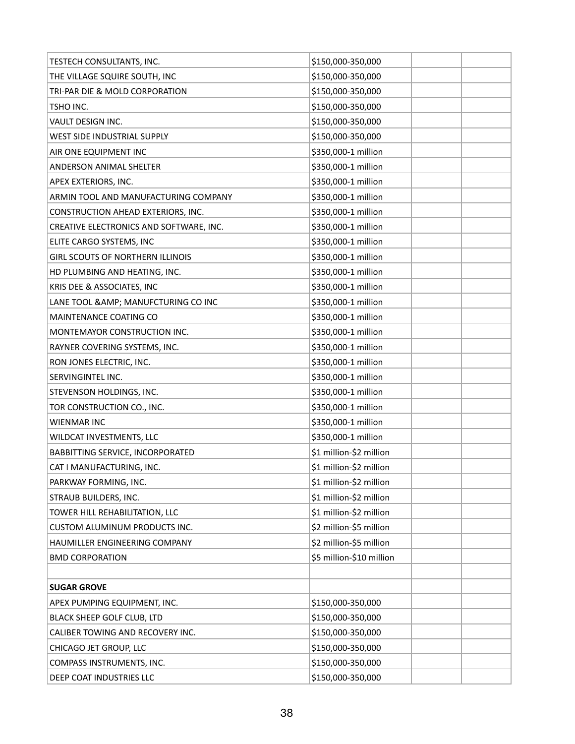| TESTECH CONSULTANTS, INC.               | \$150,000-350,000        |
|-----------------------------------------|--------------------------|
| THE VILLAGE SQUIRE SOUTH, INC           | \$150,000-350,000        |
| TRI-PAR DIE & MOLD CORPORATION          | \$150,000-350,000        |
| TSHO INC.                               | \$150,000-350,000        |
| VAULT DESIGN INC.                       | \$150,000-350,000        |
| WEST SIDE INDUSTRIAL SUPPLY             | \$150,000-350,000        |
| AIR ONE EQUIPMENT INC                   | \$350,000-1 million      |
| ANDERSON ANIMAL SHELTER                 | \$350,000-1 million      |
| APEX EXTERIORS, INC.                    | \$350,000-1 million      |
| ARMIN TOOL AND MANUFACTURING COMPANY    | \$350,000-1 million      |
| CONSTRUCTION AHEAD EXTERIORS, INC.      | \$350,000-1 million      |
| CREATIVE ELECTRONICS AND SOFTWARE, INC. | \$350,000-1 million      |
| ELITE CARGO SYSTEMS, INC                | \$350,000-1 million      |
| <b>GIRL SCOUTS OF NORTHERN ILLINOIS</b> | \$350,000-1 million      |
| HD PLUMBING AND HEATING, INC.           | \$350,000-1 million      |
| KRIS DEE & ASSOCIATES, INC              | \$350,000-1 million      |
| LANE TOOL & AMP; MANUFCTURING CO INC    | \$350,000-1 million      |
| MAINTENANCE COATING CO                  | \$350,000-1 million      |
| MONTEMAYOR CONSTRUCTION INC.            | \$350,000-1 million      |
| RAYNER COVERING SYSTEMS, INC.           | \$350,000-1 million      |
| RON JONES ELECTRIC, INC.                | \$350,000-1 million      |
| SERVINGINTEL INC.                       | \$350,000-1 million      |
| STEVENSON HOLDINGS, INC.                | \$350,000-1 million      |
| TOR CONSTRUCTION CO., INC.              | \$350,000-1 million      |
| <b>WIENMAR INC</b>                      | \$350,000-1 million      |
| WILDCAT INVESTMENTS, LLC                | \$350,000-1 million      |
| <b>BABBITTING SERVICE, INCORPORATED</b> | \$1 million-\$2 million  |
| CAT I MANUFACTURING, INC.               | \$1 million-\$2 million  |
| PARKWAY FORMING, INC.                   | \$1 million-\$2 million  |
| STRAUB BUILDERS, INC.                   | \$1 million-\$2 million  |
| TOWER HILL REHABILITATION, LLC          | \$1 million-\$2 million  |
| CUSTOM ALUMINUM PRODUCTS INC.           | \$2 million-\$5 million  |
| HAUMILLER ENGINEERING COMPANY           | \$2 million-\$5 million  |
| <b>BMD CORPORATION</b>                  | \$5 million-\$10 million |
|                                         |                          |
| <b>SUGAR GROVE</b>                      |                          |
| APEX PUMPING EQUIPMENT, INC.            | \$150,000-350,000        |
| BLACK SHEEP GOLF CLUB, LTD              | \$150,000-350,000        |
| CALIBER TOWING AND RECOVERY INC.        | \$150,000-350,000        |
| CHICAGO JET GROUP, LLC                  | \$150,000-350,000        |
| COMPASS INSTRUMENTS, INC.               | \$150,000-350,000        |
| DEEP COAT INDUSTRIES LLC                | \$150,000-350,000        |